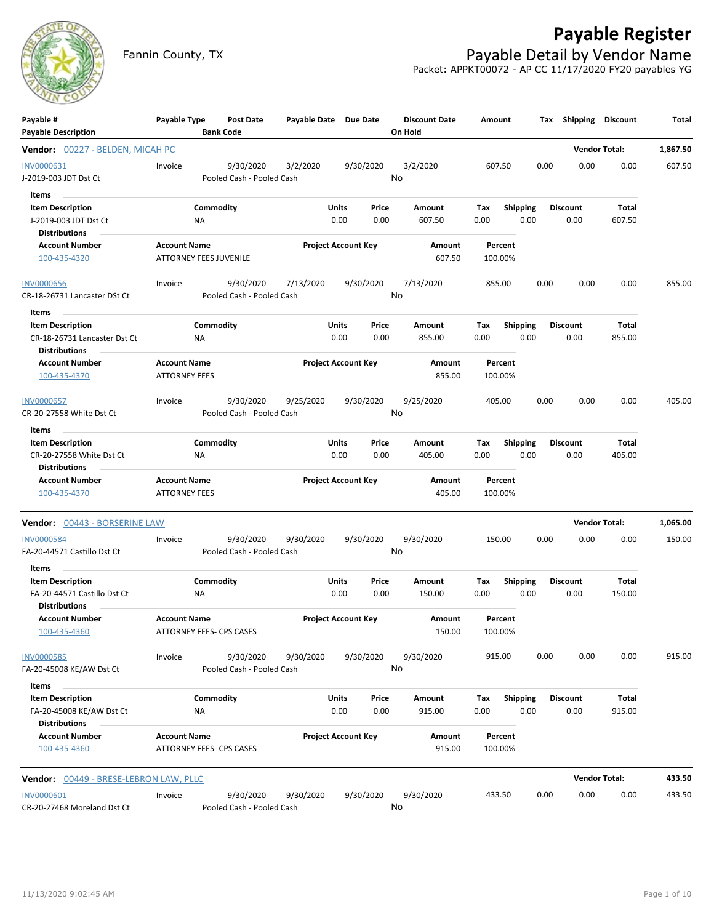

## **Payable Register**

Fannin County, TX **Payable Detail by Vendor Name** Packet: APPKT00072 - AP CC 11/17/2020 FY20 payables YG

| Payable #<br><b>Payable Description</b>                                                 | Payable Type                                | <b>Post Date</b><br><b>Bank Code</b>   | Payable Date Due Date |                            |                 | <b>Discount Date</b><br>On Hold | Amount             |                         | Tax Shipping            |      | <b>Discount</b>      | Total    |
|-----------------------------------------------------------------------------------------|---------------------------------------------|----------------------------------------|-----------------------|----------------------------|-----------------|---------------------------------|--------------------|-------------------------|-------------------------|------|----------------------|----------|
| Vendor: 00227 - BELDEN, MICAH PC                                                        |                                             |                                        |                       |                            |                 |                                 |                    |                         |                         |      | <b>Vendor Total:</b> | 1,867.50 |
| INV0000631<br>J-2019-003 JDT Dst Ct                                                     | Invoice                                     | 9/30/2020<br>Pooled Cash - Pooled Cash | 3/2/2020              |                            | 9/30/2020<br>No | 3/2/2020                        | 607.50             |                         | 0.00                    | 0.00 | 0.00                 | 607.50   |
| Items<br><b>Item Description</b><br>J-2019-003 JDT Dst Ct<br>Distributions              | NA                                          | Commodity                              |                       | Units<br>0.00              | Price<br>0.00   | Amount<br>607.50                | Тах<br>0.00        | <b>Shipping</b><br>0.00 | <b>Discount</b><br>0.00 |      | Total<br>607.50      |          |
| <b>Account Number</b><br>100-435-4320                                                   | <b>Account Name</b>                         | <b>ATTORNEY FEES JUVENILE</b>          |                       | <b>Project Account Key</b> |                 | Amount<br>607.50                | Percent<br>100.00% |                         |                         |      |                      |          |
| <b>INV0000656</b><br>CR-18-26731 Lancaster DSt Ct<br>Items                              | Invoice                                     | 9/30/2020<br>Pooled Cash - Pooled Cash | 7/13/2020             |                            | 9/30/2020<br>No | 7/13/2020                       | 855.00             |                         | 0.00                    | 0.00 | 0.00                 | 855.00   |
| <b>Item Description</b><br>CR-18-26731 Lancaster Dst Ct<br><b>Distributions</b>         | ΝA                                          | Commodity                              |                       | Units<br>0.00              | Price<br>0.00   | Amount<br>855.00                | Tax<br>0.00        | <b>Shipping</b><br>0.00 | <b>Discount</b><br>0.00 |      | Total<br>855.00      |          |
| <b>Account Number</b><br>100-435-4370                                                   | <b>Account Name</b><br><b>ATTORNEY FEES</b> |                                        |                       | <b>Project Account Key</b> |                 | Amount<br>855.00                | Percent<br>100.00% |                         |                         |      |                      |          |
| <b>INV0000657</b><br>CR-20-27558 White Dst Ct<br>Items                                  | Invoice                                     | 9/30/2020<br>Pooled Cash - Pooled Cash | 9/25/2020             |                            | 9/30/2020<br>No | 9/25/2020                       | 405.00             |                         | 0.00                    | 0.00 | 0.00                 | 405.00   |
| <b>Item Description</b><br>CR-20-27558 White Dst Ct<br><b>Distributions</b>             | NA                                          | Commodity                              |                       | Units<br>0.00              | Price<br>0.00   | Amount<br>405.00                | Tax<br>0.00        | <b>Shipping</b><br>0.00 | Discount<br>0.00        |      | Total<br>405.00      |          |
| <b>Account Number</b><br>100-435-4370                                                   | <b>Account Name</b><br><b>ATTORNEY FEES</b> |                                        |                       | <b>Project Account Key</b> |                 | Amount<br>405.00                | Percent<br>100.00% |                         |                         |      |                      |          |
| Vendor: 00443 - BORSERINE LAW                                                           |                                             |                                        |                       |                            |                 |                                 |                    |                         |                         |      | <b>Vendor Total:</b> | 1,065.00 |
| <b>INV0000584</b><br>FA-20-44571 Castillo Dst Ct                                        | Invoice                                     | 9/30/2020<br>Pooled Cash - Pooled Cash | 9/30/2020             |                            | 9/30/2020<br>No | 9/30/2020                       | 150.00             |                         | 0.00                    | 0.00 | 0.00                 | 150.00   |
| Items<br><b>Item Description</b><br>FA-20-44571 Castillo Dst Ct<br><b>Distributions</b> | <b>NA</b>                                   | Commodity                              |                       | <b>Units</b><br>0.00       | Price<br>0.00   | Amount<br>150.00                | Tax<br>0.00        | <b>Shipping</b><br>0.00 | <b>Discount</b><br>0.00 |      | Total<br>150.00      |          |
| <b>Account Number</b><br>100-435-4360                                                   | <b>Account Name</b>                         | ATTORNEY FEES- CPS CASES               |                       | <b>Project Account Key</b> |                 | Amount<br>150.00                | Percent<br>100.00% |                         |                         |      |                      |          |
| <b>INV0000585</b><br>FA-20-45008 KE/AW Dst Ct                                           | Invoice                                     | 9/30/2020<br>Pooled Cash - Pooled Cash | 9/30/2020             |                            | 9/30/2020<br>No | 9/30/2020                       | 915.00             |                         | 0.00                    | 0.00 | 0.00                 | 915.00   |
| Items<br><b>Item Description</b><br>FA-20-45008 KE/AW Dst Ct<br><b>Distributions</b>    | <b>NA</b>                                   | Commodity                              |                       | Units<br>0.00              | Price<br>0.00   | Amount<br>915.00                | Tax<br>0.00        | <b>Shipping</b><br>0.00 | <b>Discount</b><br>0.00 |      | Total<br>915.00      |          |
| <b>Account Number</b><br>100-435-4360                                                   | <b>Account Name</b>                         | ATTORNEY FEES- CPS CASES               |                       | <b>Project Account Key</b> |                 | Amount<br>915.00                | Percent<br>100.00% |                         |                         |      |                      |          |
| Vendor: 00449 - BRESE-LEBRON LAW, PLLC                                                  |                                             |                                        |                       |                            |                 |                                 |                    |                         |                         |      | <b>Vendor Total:</b> | 433.50   |
| <b>INV0000601</b><br>CR-20-27468 Moreland Dst Ct                                        | Invoice                                     | 9/30/2020<br>Pooled Cash - Pooled Cash | 9/30/2020             |                            | 9/30/2020<br>No | 9/30/2020                       | 433.50             |                         | 0.00                    | 0.00 | 0.00                 | 433.50   |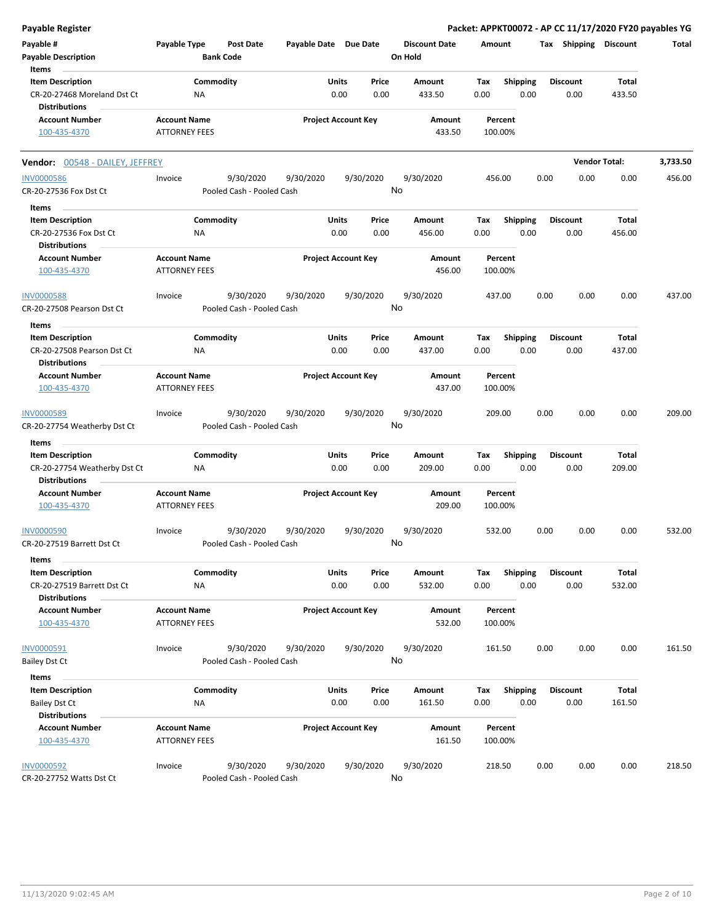| <b>Payable Register</b>                             |                      |                           |                       |                            |                      | Packet: APPKT00072 - AP CC 11/17/2020 FY20 payables YG |                 |                       |                      |          |
|-----------------------------------------------------|----------------------|---------------------------|-----------------------|----------------------------|----------------------|--------------------------------------------------------|-----------------|-----------------------|----------------------|----------|
| Payable #                                           | Payable Type         | Post Date                 | Payable Date Due Date |                            | <b>Discount Date</b> | Amount                                                 |                 | Tax Shipping Discount |                      | Total    |
| <b>Payable Description</b>                          |                      | <b>Bank Code</b>          |                       |                            | On Hold              |                                                        |                 |                       |                      |          |
| Items                                               |                      |                           |                       |                            |                      |                                                        |                 |                       |                      |          |
| <b>Item Description</b>                             |                      | Commodity                 | Units                 | Price                      | Amount               | Tax                                                    | <b>Shipping</b> | <b>Discount</b>       | Total                |          |
| CR-20-27468 Moreland Dst Ct<br><b>Distributions</b> | <b>NA</b>            |                           |                       | 0.00<br>0.00               | 433.50               | 0.00                                                   | 0.00            | 0.00                  | 433.50               |          |
| <b>Account Number</b>                               | <b>Account Name</b>  |                           |                       | <b>Project Account Key</b> | Amount               | Percent                                                |                 |                       |                      |          |
| 100-435-4370                                        | <b>ATTORNEY FEES</b> |                           |                       |                            | 433.50               | 100.00%                                                |                 |                       |                      |          |
| Vendor: 00548 - DAILEY, JEFFREY                     |                      |                           |                       |                            |                      |                                                        |                 |                       | <b>Vendor Total:</b> | 3,733.50 |
| <b>INV0000586</b>                                   | Invoice              | 9/30/2020                 | 9/30/2020             | 9/30/2020                  | 9/30/2020            | 456.00                                                 | 0.00            | 0.00                  | 0.00                 | 456.00   |
| CR-20-27536 Fox Dst Ct                              |                      | Pooled Cash - Pooled Cash |                       |                            | No                   |                                                        |                 |                       |                      |          |
|                                                     |                      |                           |                       |                            |                      |                                                        |                 |                       |                      |          |
| Items                                               |                      |                           |                       |                            |                      |                                                        |                 |                       |                      |          |
| <b>Item Description</b>                             |                      | Commodity                 | Units                 | Price                      | Amount               | Tax                                                    | <b>Shipping</b> | <b>Discount</b>       | Total                |          |
| CR-20-27536 Fox Dst Ct<br><b>Distributions</b>      | ΝA                   |                           |                       | 0.00<br>0.00               | 456.00               | 0.00                                                   | 0.00            | 0.00                  | 456.00               |          |
| <b>Account Number</b>                               | <b>Account Name</b>  |                           |                       | <b>Project Account Key</b> | Amount               | Percent                                                |                 |                       |                      |          |
| 100-435-4370                                        | <b>ATTORNEY FEES</b> |                           |                       |                            | 456.00               | 100.00%                                                |                 |                       |                      |          |
| <b>INV0000588</b>                                   | Invoice              | 9/30/2020                 | 9/30/2020             | 9/30/2020                  | 9/30/2020            | 437.00                                                 | 0.00            | 0.00                  | 0.00                 | 437.00   |
| CR-20-27508 Pearson Dst Ct                          |                      | Pooled Cash - Pooled Cash |                       |                            | No                   |                                                        |                 |                       |                      |          |
|                                                     |                      |                           |                       |                            |                      |                                                        |                 |                       |                      |          |
| Items                                               |                      |                           |                       |                            |                      |                                                        |                 |                       |                      |          |
| <b>Item Description</b>                             |                      | Commodity                 | Units                 | Price                      | Amount               | Tax                                                    | <b>Shipping</b> | <b>Discount</b>       | Total                |          |
| CR-20-27508 Pearson Dst Ct                          | ΝA                   |                           |                       | 0.00<br>0.00               | 437.00               | 0.00                                                   | 0.00            | 0.00                  | 437.00               |          |
| <b>Distributions</b>                                |                      |                           |                       |                            |                      |                                                        |                 |                       |                      |          |
| <b>Account Number</b>                               | <b>Account Name</b>  |                           |                       | <b>Project Account Key</b> | Amount               | Percent                                                |                 |                       |                      |          |
| 100-435-4370                                        | <b>ATTORNEY FEES</b> |                           |                       |                            | 437.00               | 100.00%                                                |                 |                       |                      |          |
| INV0000589                                          | Invoice              | 9/30/2020                 | 9/30/2020             | 9/30/2020                  | 9/30/2020            | 209.00                                                 | 0.00            | 0.00                  | 0.00                 | 209.00   |
| CR-20-27754 Weatherby Dst Ct                        |                      | Pooled Cash - Pooled Cash |                       |                            | No                   |                                                        |                 |                       |                      |          |
| Items                                               |                      |                           |                       |                            |                      |                                                        |                 |                       |                      |          |
| <b>Item Description</b>                             |                      | Commodity                 | Units                 | Price                      | Amount               | Tax                                                    | <b>Shipping</b> | <b>Discount</b>       | Total                |          |
| CR-20-27754 Weatherby Dst Ct                        | <b>NA</b>            |                           |                       | 0.00<br>0.00               | 209.00               | 0.00                                                   | 0.00            | 0.00                  | 209.00               |          |
| <b>Distributions</b>                                |                      |                           |                       |                            |                      |                                                        |                 |                       |                      |          |
| <b>Account Number</b>                               | <b>Account Name</b>  |                           |                       | <b>Project Account Key</b> | Amount               | Percent                                                |                 |                       |                      |          |
| 100-435-4370                                        | <b>ATTORNEY FEES</b> |                           |                       |                            | 209.00               | 100.00%                                                |                 |                       |                      |          |
| INV0000590                                          | Invoice              | 9/30/2020                 | 9/30/2020             | 9/30/2020                  | 9/30/2020            | 532.00                                                 | 0.00            | 0.00                  | 0.00                 | 532.00   |
| CR-20-27519 Barrett Dst Ct                          |                      | Pooled Cash - Pooled Cash |                       |                            | No                   |                                                        |                 |                       |                      |          |
| Items                                               |                      |                           |                       |                            |                      |                                                        |                 |                       |                      |          |
| <b>Item Description</b>                             |                      | Commodity                 |                       | Units<br>Price             | Amount               | Tax                                                    | <b>Shipping</b> | <b>Discount</b>       | Total                |          |
| CR-20-27519 Barrett Dst Ct<br><b>Distributions</b>  | NA                   |                           |                       | 0.00<br>0.00               | 532.00               | 0.00                                                   | 0.00            | 0.00                  | 532.00               |          |
| <b>Account Number</b>                               | <b>Account Name</b>  |                           |                       | <b>Project Account Key</b> | Amount               | Percent                                                |                 |                       |                      |          |
| 100-435-4370                                        | <b>ATTORNEY FEES</b> |                           |                       |                            | 532.00               | 100.00%                                                |                 |                       |                      |          |
| INV0000591                                          | Invoice              | 9/30/2020                 | 9/30/2020             | 9/30/2020                  | 9/30/2020            | 161.50                                                 | 0.00            | 0.00                  | 0.00                 | 161.50   |
| Bailey Dst Ct                                       |                      | Pooled Cash - Pooled Cash |                       |                            | No                   |                                                        |                 |                       |                      |          |
|                                                     |                      |                           |                       |                            |                      |                                                        |                 |                       |                      |          |
| Items                                               |                      |                           |                       |                            |                      |                                                        |                 |                       |                      |          |
| <b>Item Description</b>                             |                      | Commodity                 |                       | Units<br>Price             | Amount               | Tax                                                    | <b>Shipping</b> | <b>Discount</b>       | Total                |          |
| <b>Bailey Dst Ct</b>                                | NA                   |                           |                       | 0.00<br>0.00               | 161.50               | 0.00                                                   | 0.00            | 0.00                  | 161.50               |          |
| <b>Distributions</b>                                |                      |                           |                       |                            |                      |                                                        |                 |                       |                      |          |
| <b>Account Number</b>                               | <b>Account Name</b>  |                           |                       | <b>Project Account Key</b> | Amount               | Percent                                                |                 |                       |                      |          |
| 100-435-4370                                        | <b>ATTORNEY FEES</b> |                           |                       |                            | 161.50               | 100.00%                                                |                 |                       |                      |          |
| <b>INV0000592</b>                                   | Invoice              | 9/30/2020                 | 9/30/2020             | 9/30/2020                  | 9/30/2020            | 218.50                                                 | 0.00            | 0.00                  | 0.00                 | 218.50   |
| CR-20-27752 Watts Dst Ct                            |                      | Pooled Cash - Pooled Cash |                       |                            | No                   |                                                        |                 |                       |                      |          |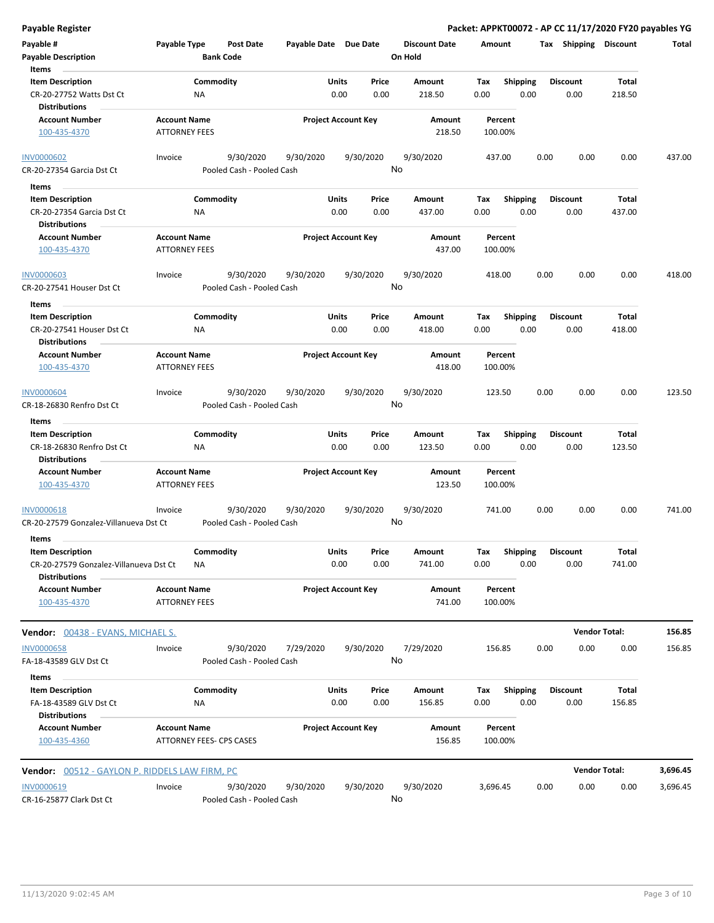|  | Payable Register |
|--|------------------|
|  |                  |

| <b>Payable Register</b>                               |                                             |                        |                                        |                       |                            |               |                      |             |                         |      |                         | Packet: APPKT00072 - AP CC 11/17/2020 FY20 payables YG |          |
|-------------------------------------------------------|---------------------------------------------|------------------------|----------------------------------------|-----------------------|----------------------------|---------------|----------------------|-------------|-------------------------|------|-------------------------|--------------------------------------------------------|----------|
| Payable #                                             | Payable Type                                |                        | <b>Post Date</b>                       | Payable Date Due Date |                            |               | <b>Discount Date</b> | Amount      |                         |      | Tax Shipping Discount   |                                                        | Total    |
| <b>Payable Description</b>                            |                                             |                        | <b>Bank Code</b>                       |                       |                            |               | On Hold              |             |                         |      |                         |                                                        |          |
| Items<br>$\sim$                                       |                                             |                        |                                        |                       |                            |               |                      |             |                         |      |                         |                                                        |          |
| <b>Item Description</b>                               |                                             | Commodity              |                                        |                       | Units                      | Price         | Amount               | Tax         | <b>Shipping</b>         |      | <b>Discount</b>         | Total                                                  |          |
| CR-20-27752 Watts Dst Ct<br><b>Distributions</b>      |                                             | ΝA                     |                                        |                       | 0.00                       | 0.00          | 218.50               | 0.00        | 0.00                    |      | 0.00                    | 218.50                                                 |          |
| <b>Account Number</b>                                 | <b>Account Name</b>                         |                        |                                        |                       | <b>Project Account Key</b> |               | Amount               |             | Percent                 |      |                         |                                                        |          |
| 100-435-4370                                          | <b>ATTORNEY FEES</b>                        |                        |                                        |                       |                            |               | 218.50               |             | 100.00%                 |      |                         |                                                        |          |
| <b>INV0000602</b>                                     | Invoice                                     |                        | 9/30/2020                              | 9/30/2020             |                            | 9/30/2020     | 9/30/2020            | 437.00      |                         | 0.00 | 0.00                    | 0.00                                                   | 437.00   |
| CR-20-27354 Garcia Dst Ct                             |                                             |                        | Pooled Cash - Pooled Cash              |                       |                            | No            |                      |             |                         |      |                         |                                                        |          |
| Items                                                 |                                             |                        |                                        |                       |                            |               |                      |             |                         |      |                         |                                                        |          |
| <b>Item Description</b>                               |                                             | Commodity              |                                        |                       | Units                      | Price         | Amount               | Tax         | <b>Shipping</b>         |      | <b>Discount</b>         | Total                                                  |          |
| CR-20-27354 Garcia Dst Ct<br><b>Distributions</b>     |                                             | ΝA                     |                                        |                       | 0.00                       | 0.00          | 437.00               | 0.00        | 0.00                    |      | 0.00                    | 437.00                                                 |          |
| <b>Account Number</b><br>100-435-4370                 | <b>Account Name</b><br><b>ATTORNEY FEES</b> |                        |                                        |                       | <b>Project Account Key</b> |               | Amount<br>437.00     |             | Percent<br>100.00%      |      |                         |                                                        |          |
| <b>INV0000603</b>                                     | Invoice                                     |                        | 9/30/2020<br>Pooled Cash - Pooled Cash | 9/30/2020             |                            | 9/30/2020     | 9/30/2020<br>No      | 418.00      |                         | 0.00 | 0.00                    | 0.00                                                   | 418.00   |
| CR-20-27541 Houser Dst Ct                             |                                             |                        |                                        |                       |                            |               |                      |             |                         |      |                         |                                                        |          |
| Items                                                 |                                             |                        |                                        |                       |                            |               |                      |             |                         |      |                         |                                                        |          |
| <b>Item Description</b><br>CR-20-27541 Houser Dst Ct  |                                             | Commodity<br><b>NA</b> |                                        |                       | Units<br>0.00              | Price<br>0.00 | Amount<br>418.00     | Tax<br>0.00 | <b>Shipping</b><br>0.00 |      | <b>Discount</b><br>0.00 | Total<br>418.00                                        |          |
| <b>Distributions</b>                                  |                                             |                        |                                        |                       |                            |               |                      |             |                         |      |                         |                                                        |          |
| <b>Account Number</b><br>100-435-4370                 | <b>Account Name</b><br><b>ATTORNEY FEES</b> |                        |                                        |                       | <b>Project Account Key</b> |               | Amount<br>418.00     |             | Percent<br>100.00%      |      |                         |                                                        |          |
| <b>INV0000604</b>                                     | Invoice                                     |                        | 9/30/2020                              | 9/30/2020             |                            | 9/30/2020     | 9/30/2020            |             | 123.50                  | 0.00 | 0.00                    | 0.00                                                   | 123.50   |
| CR-18-26830 Renfro Dst Ct                             |                                             |                        | Pooled Cash - Pooled Cash              |                       |                            |               | No                   |             |                         |      |                         |                                                        |          |
| Items                                                 |                                             |                        |                                        |                       |                            |               |                      |             |                         |      |                         |                                                        |          |
| <b>Item Description</b><br>CR-18-26830 Renfro Dst Ct  |                                             | Commodity<br>NA        |                                        |                       | <b>Units</b><br>0.00       | Price<br>0.00 | Amount<br>123.50     | Tax<br>0.00 | <b>Shipping</b><br>0.00 |      | <b>Discount</b><br>0.00 | Total<br>123.50                                        |          |
| <b>Distributions</b>                                  |                                             |                        |                                        |                       |                            |               |                      |             |                         |      |                         |                                                        |          |
| <b>Account Number</b><br>100-435-4370                 | <b>Account Name</b><br><b>ATTORNEY FEES</b> |                        |                                        |                       | <b>Project Account Key</b> |               | Amount<br>123.50     |             | Percent<br>100.00%      |      |                         |                                                        |          |
| INV0000618<br>CR-20-27579 Gonzalez-Villanueva Dst Ct  | Invoice                                     |                        | 9/30/2020<br>Pooled Cash - Pooled Cash | 9/30/2020             |                            | 9/30/2020     | 9/30/2020<br>No      | 741.00      |                         | 0.00 | 0.00                    | 0.00                                                   | 741.00   |
| Items                                                 |                                             |                        |                                        |                       |                            |               |                      |             |                         |      |                         |                                                        |          |
| <b>Item Description</b>                               |                                             | Commodity              |                                        |                       | Units                      | Price         | Amount               | Tax         | Shipping                |      | <b>Discount</b>         | Total                                                  |          |
| CR-20-27579 Gonzalez-Villanueva Dst Ct                |                                             | ΝA                     |                                        |                       | 0.00                       | 0.00          | 741.00               | 0.00        | 0.00                    |      | 0.00                    | 741.00                                                 |          |
| <b>Distributions</b>                                  |                                             |                        |                                        |                       |                            |               |                      |             |                         |      |                         |                                                        |          |
| <b>Account Number</b><br>100-435-4370                 | <b>Account Name</b><br><b>ATTORNEY FEES</b> |                        |                                        |                       | <b>Project Account Key</b> |               | Amount<br>741.00     |             | Percent<br>100.00%      |      |                         |                                                        |          |
| Vendor: 00438 - EVANS, MICHAEL S.                     |                                             |                        |                                        |                       |                            |               |                      |             |                         |      |                         | <b>Vendor Total:</b>                                   | 156.85   |
| <b>INV0000658</b>                                     | Invoice                                     |                        | 9/30/2020                              | 7/29/2020             |                            | 9/30/2020     | 7/29/2020            | 156.85      |                         | 0.00 | 0.00                    | 0.00                                                   | 156.85   |
| FA-18-43589 GLV Dst Ct                                |                                             |                        | Pooled Cash - Pooled Cash              |                       |                            |               | No                   |             |                         |      |                         |                                                        |          |
| Items<br><b>Item Description</b>                      |                                             | Commodity              |                                        |                       | Units                      | Price         | Amount               | Tax         | <b>Shipping</b>         |      | <b>Discount</b>         | <b>Total</b>                                           |          |
| FA-18-43589 GLV Dst Ct                                |                                             | ΝA                     |                                        |                       | 0.00                       | 0.00          | 156.85               | 0.00        | 0.00                    |      | 0.00                    | 156.85                                                 |          |
| <b>Distributions</b>                                  |                                             |                        |                                        |                       |                            |               |                      |             |                         |      |                         |                                                        |          |
| <b>Account Number</b><br>100-435-4360                 | <b>Account Name</b>                         |                        | ATTORNEY FEES- CPS CASES               |                       | <b>Project Account Key</b> |               | Amount<br>156.85     |             | Percent<br>100.00%      |      |                         |                                                        |          |
| <b>Vendor:</b> 00512 - GAYLON P. RIDDELS LAW FIRM, PC |                                             |                        |                                        |                       |                            |               |                      |             |                         |      |                         | <b>Vendor Total:</b>                                   | 3,696.45 |
| <b>INV0000619</b>                                     | Invoice                                     |                        | 9/30/2020                              | 9/30/2020             |                            | 9/30/2020     | 9/30/2020            | 3,696.45    |                         | 0.00 | 0.00                    | 0.00                                                   | 3,696.45 |
| CR-16-25877 Clark Dst Ct                              |                                             |                        | Pooled Cash - Pooled Cash              |                       |                            |               | No                   |             |                         |      |                         |                                                        |          |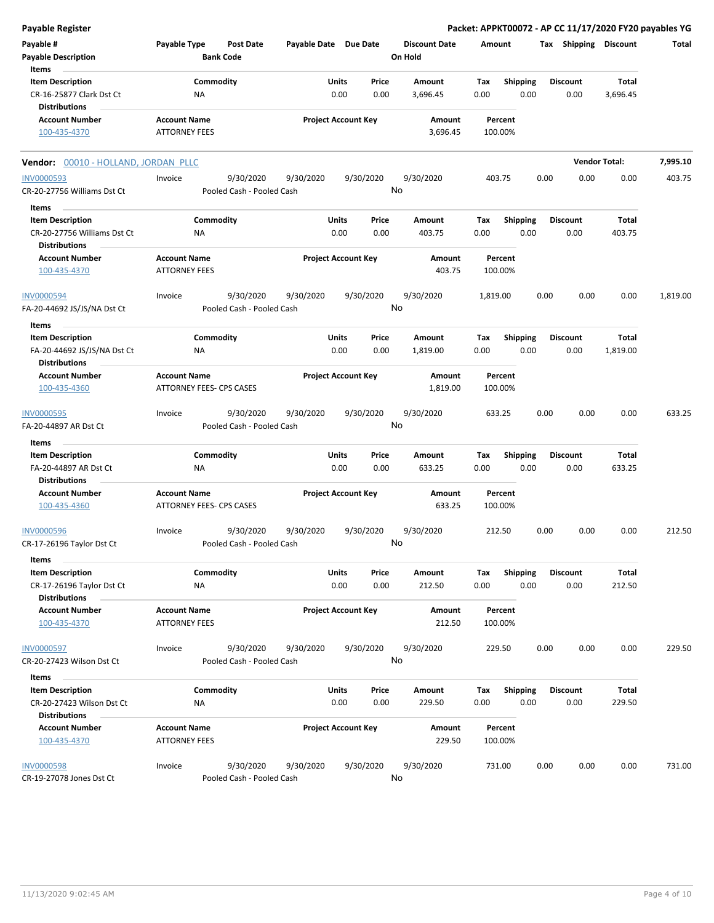| Payable Register                                                               |                                             |                                        |                       |                                       |                                 |                    |                         |                         | Packet: APPKT00072 - AP CC 11/17/2020 FY20 payables YG |          |
|--------------------------------------------------------------------------------|---------------------------------------------|----------------------------------------|-----------------------|---------------------------------------|---------------------------------|--------------------|-------------------------|-------------------------|--------------------------------------------------------|----------|
| Payable #<br><b>Payable Description</b>                                        | Payable Type                                | <b>Post Date</b><br><b>Bank Code</b>   | Payable Date Due Date |                                       | <b>Discount Date</b><br>On Hold | Amount             |                         |                         | Tax Shipping Discount                                  | Total    |
| Items<br><b>Item Description</b><br>CR-16-25877 Clark Dst Ct                   | ΝA                                          | Commodity                              | Units                 | Price<br>0.00<br>0.00                 | Amount<br>3,696.45              | Tax<br>0.00        | <b>Shipping</b><br>0.00 | <b>Discount</b><br>0.00 | <b>Total</b><br>3,696.45                               |          |
| <b>Distributions</b><br><b>Account Number</b><br>100-435-4370                  | <b>Account Name</b><br><b>ATTORNEY FEES</b> |                                        |                       | <b>Project Account Key</b>            | Amount<br>3,696.45              | Percent<br>100.00% |                         |                         |                                                        |          |
| <b>Vendor: 00010 - HOLLAND, JORDAN PLLC</b>                                    |                                             |                                        |                       |                                       |                                 |                    |                         |                         | <b>Vendor Total:</b>                                   | 7,995.10 |
| <b>INV0000593</b><br>CR-20-27756 Williams Dst Ct                               | Invoice                                     | 9/30/2020<br>Pooled Cash - Pooled Cash | 9/30/2020             | 9/30/2020                             | 9/30/2020<br>No                 | 403.75             |                         | 0.00                    | 0.00<br>0.00                                           | 403.75   |
| Items                                                                          |                                             |                                        |                       |                                       |                                 |                    |                         |                         |                                                        |          |
| <b>Item Description</b><br>CR-20-27756 Williams Dst Ct<br><b>Distributions</b> | NA                                          | Commodity                              | Units                 | Price<br>0.00<br>0.00                 | Amount<br>403.75                | Tax<br>0.00        | <b>Shipping</b><br>0.00 | <b>Discount</b><br>0.00 | Total<br>403.75                                        |          |
| <b>Account Number</b><br>100-435-4370                                          | <b>Account Name</b><br><b>ATTORNEY FEES</b> |                                        |                       | <b>Project Account Key</b>            | Amount<br>403.75                | Percent<br>100.00% |                         |                         |                                                        |          |
| <b>INV0000594</b><br>FA-20-44692 JS/JS/NA Dst Ct                               | Invoice                                     | 9/30/2020<br>Pooled Cash - Pooled Cash | 9/30/2020             | 9/30/2020                             | 9/30/2020<br>No                 | 1,819.00           |                         | 0.00                    | 0.00<br>0.00                                           | 1,819.00 |
| Items<br><b>Item Description</b><br>FA-20-44692 JS/JS/NA Dst Ct                | ΝA                                          | Commodity                              |                       | Units<br>Price<br>0.00<br>0.00        | Amount<br>1,819.00              | Tax<br>0.00        | <b>Shipping</b><br>0.00 | <b>Discount</b><br>0.00 | Total<br>1,819.00                                      |          |
| <b>Distributions</b><br><b>Account Number</b><br>100-435-4360                  | <b>Account Name</b>                         | <b>ATTORNEY FEES- CPS CASES</b>        |                       | <b>Project Account Key</b>            | Amount<br>1,819.00              | Percent<br>100.00% |                         |                         |                                                        |          |
| INV0000595<br>FA-20-44897 AR Dst Ct                                            | Invoice                                     | 9/30/2020<br>Pooled Cash - Pooled Cash | 9/30/2020             | 9/30/2020                             | 9/30/2020<br>No                 | 633.25             |                         | 0.00                    | 0.00<br>0.00                                           | 633.25   |
| Items                                                                          |                                             |                                        |                       |                                       |                                 |                    |                         |                         |                                                        |          |
| <b>Item Description</b><br>FA-20-44897 AR Dst Ct<br><b>Distributions</b>       | ΝA                                          | Commodity                              |                       | Units<br>Price<br>0.00<br>0.00        | Amount<br>633.25                | Tax<br>0.00        | <b>Shipping</b><br>0.00 | <b>Discount</b><br>0.00 | <b>Total</b><br>633.25                                 |          |
| <b>Account Number</b><br>100-435-4360                                          | <b>Account Name</b>                         | ATTORNEY FEES- CPS CASES               |                       | <b>Project Account Key</b>            | Amount<br>633.25                | Percent<br>100.00% |                         |                         |                                                        |          |
| <u>INV0000596</u><br>CR-17-26196 Taylor Dst Ct                                 | Invoice                                     | 9/30/2020<br>Pooled Cash - Pooled Cash | 9/30/2020             | 9/30/2020                             | 9/30/2020<br>No                 | 212.50             |                         | 0.00                    | 0.00<br>0.00                                           | 212.50   |
| Items<br><b>Item Description</b><br>CR-17-26196 Taylor Dst Ct                  | ΝA                                          | Commodity                              |                       | <b>Units</b><br>Price<br>0.00<br>0.00 | Amount<br>212.50                | Tax<br>0.00        | <b>Shipping</b><br>0.00 | <b>Discount</b><br>0.00 | Total<br>212.50                                        |          |
| <b>Distributions</b><br><b>Account Number</b><br>100-435-4370                  | <b>Account Name</b><br><b>ATTORNEY FEES</b> |                                        |                       | <b>Project Account Key</b>            | Amount<br>212.50                | Percent<br>100.00% |                         |                         |                                                        |          |
| <b>INV0000597</b><br>CR-20-27423 Wilson Dst Ct                                 | Invoice                                     | 9/30/2020<br>Pooled Cash - Pooled Cash | 9/30/2020             | 9/30/2020                             | 9/30/2020<br>No                 | 229.50             |                         | 0.00                    | 0.00<br>0.00                                           | 229.50   |
| Items                                                                          |                                             |                                        |                       |                                       |                                 |                    |                         |                         |                                                        |          |
| <b>Item Description</b><br>CR-20-27423 Wilson Dst Ct<br><b>Distributions</b>   | ΝA                                          | Commodity                              |                       | <b>Units</b><br>Price<br>0.00<br>0.00 | Amount<br>229.50                | Tax<br>0.00        | Shipping<br>0.00        | <b>Discount</b><br>0.00 | <b>Total</b><br>229.50                                 |          |
| <b>Account Number</b><br>100-435-4370                                          | <b>Account Name</b><br><b>ATTORNEY FEES</b> |                                        |                       | <b>Project Account Key</b>            | Amount<br>229.50                | Percent<br>100.00% |                         |                         |                                                        |          |
| <b>INV0000598</b><br>CR-19-27078 Jones Dst Ct                                  | Invoice                                     | 9/30/2020<br>Pooled Cash - Pooled Cash | 9/30/2020             | 9/30/2020                             | 9/30/2020<br>No                 | 731.00             |                         | 0.00                    | 0.00<br>0.00                                           | 731.00   |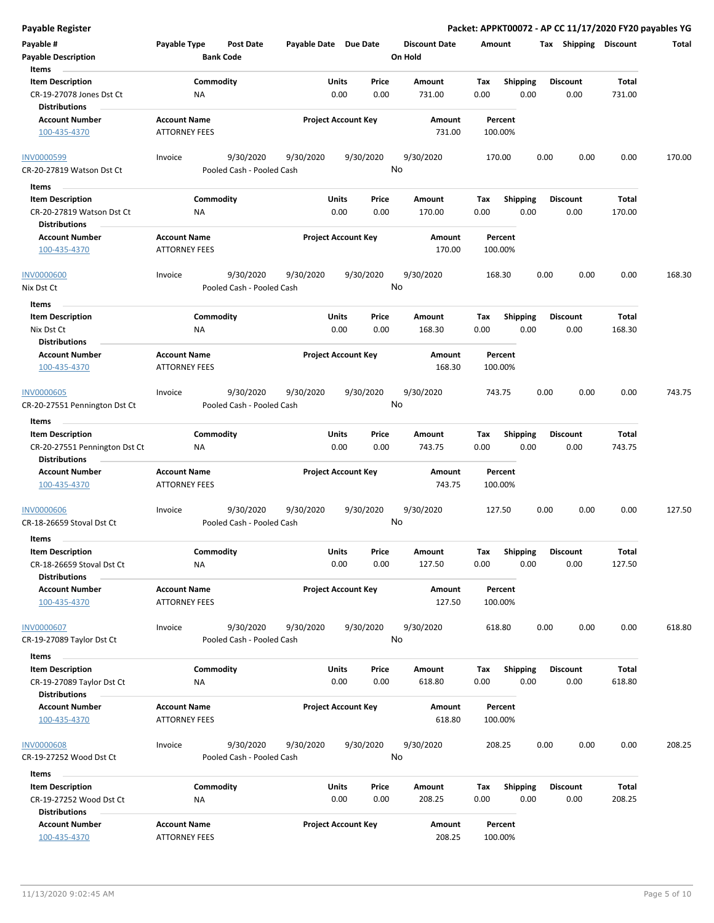| <b>Payable Register</b>                               |                                             |                                      |                       |                            |       |                                 |         |                    |      |                       |              | Packet: APPKT00072 - AP CC 11/17/2020 FY20 payables YG |
|-------------------------------------------------------|---------------------------------------------|--------------------------------------|-----------------------|----------------------------|-------|---------------------------------|---------|--------------------|------|-----------------------|--------------|--------------------------------------------------------|
| Payable #<br><b>Payable Description</b>               | Payable Type                                | <b>Post Date</b><br><b>Bank Code</b> | Payable Date Due Date |                            |       | <b>Discount Date</b><br>On Hold | Amount  |                    |      | Tax Shipping Discount |              | Total                                                  |
| Items                                                 |                                             |                                      |                       |                            |       |                                 |         |                    |      |                       |              |                                                        |
| <b>Item Description</b>                               |                                             | Commodity                            |                       | Units                      | Price | <b>Amount</b>                   | Tax     | <b>Shipping</b>    |      | <b>Discount</b>       | Total        |                                                        |
| CR-19-27078 Jones Dst Ct<br><b>Distributions</b>      | ΝA                                          |                                      |                       | 0.00                       | 0.00  | 731.00                          | 0.00    | 0.00               |      | 0.00                  | 731.00       |                                                        |
| <b>Account Number</b>                                 | <b>Account Name</b>                         |                                      |                       | <b>Project Account Key</b> |       | Amount                          |         | Percent            |      |                       |              |                                                        |
| 100-435-4370                                          | <b>ATTORNEY FEES</b>                        |                                      |                       |                            |       | 731.00                          | 100.00% |                    |      |                       |              |                                                        |
| <b>INV0000599</b>                                     | Invoice                                     | 9/30/2020                            | 9/30/2020             | 9/30/2020                  |       | 9/30/2020                       | 170.00  |                    | 0.00 | 0.00                  | 0.00         | 170.00                                                 |
| CR-20-27819 Watson Dst Ct                             |                                             | Pooled Cash - Pooled Cash            |                       |                            | No    |                                 |         |                    |      |                       |              |                                                        |
| Items                                                 |                                             |                                      |                       |                            |       |                                 |         |                    |      |                       |              |                                                        |
| <b>Item Description</b>                               |                                             | Commodity                            |                       | Units                      | Price | Amount                          | Tax     | <b>Shipping</b>    |      | <b>Discount</b>       | <b>Total</b> |                                                        |
| CR-20-27819 Watson Dst Ct                             | ΝA                                          |                                      |                       | 0.00                       | 0.00  | 170.00                          | 0.00    | 0.00               |      | 0.00                  | 170.00       |                                                        |
| <b>Distributions</b>                                  |                                             |                                      |                       |                            |       |                                 |         |                    |      |                       |              |                                                        |
| <b>Account Number</b>                                 | <b>Account Name</b>                         |                                      |                       | <b>Project Account Key</b> |       | Amount                          |         | Percent            |      |                       |              |                                                        |
| 100-435-4370                                          | <b>ATTORNEY FEES</b>                        |                                      |                       |                            |       | 170.00                          | 100.00% |                    |      |                       |              |                                                        |
| INV0000600                                            | Invoice                                     | 9/30/2020                            | 9/30/2020             | 9/30/2020                  |       | 9/30/2020                       | 168.30  |                    | 0.00 | 0.00                  | 0.00         | 168.30                                                 |
| Nix Dst Ct                                            |                                             | Pooled Cash - Pooled Cash            |                       |                            | No    |                                 |         |                    |      |                       |              |                                                        |
| Items                                                 |                                             |                                      |                       |                            |       |                                 |         |                    |      |                       |              |                                                        |
| <b>Item Description</b>                               |                                             | Commodity                            |                       | Units                      | Price | Amount                          | Tax     | <b>Shipping</b>    |      | <b>Discount</b>       | Total        |                                                        |
| Nix Dst Ct                                            | NA                                          |                                      |                       | 0.00                       | 0.00  | 168.30                          | 0.00    | 0.00               |      | 0.00                  | 168.30       |                                                        |
| <b>Distributions</b>                                  |                                             |                                      |                       |                            |       |                                 |         |                    |      |                       |              |                                                        |
| <b>Account Number</b>                                 | <b>Account Name</b>                         |                                      |                       | <b>Project Account Key</b> |       | Amount                          |         | Percent            |      |                       |              |                                                        |
| 100-435-4370                                          | <b>ATTORNEY FEES</b>                        |                                      |                       |                            |       | 168.30                          | 100.00% |                    |      |                       |              |                                                        |
| <b>INV0000605</b>                                     | Invoice                                     | 9/30/2020                            | 9/30/2020             | 9/30/2020                  |       | 9/30/2020                       | 743.75  |                    | 0.00 | 0.00                  | 0.00         | 743.75                                                 |
| CR-20-27551 Pennington Dst Ct                         |                                             | Pooled Cash - Pooled Cash            |                       |                            | No    |                                 |         |                    |      |                       |              |                                                        |
| Items                                                 |                                             |                                      |                       |                            |       |                                 |         |                    |      |                       |              |                                                        |
| <b>Item Description</b>                               |                                             | Commodity                            |                       | Units                      | Price | Amount                          | Tax     | <b>Shipping</b>    |      | <b>Discount</b>       | Total        |                                                        |
| CR-20-27551 Pennington Dst Ct<br><b>Distributions</b> | ΝA                                          |                                      |                       | 0.00                       | 0.00  | 743.75                          | 0.00    | 0.00               |      | 0.00                  | 743.75       |                                                        |
| <b>Account Number</b>                                 | <b>Account Name</b>                         |                                      |                       | <b>Project Account Key</b> |       | <b>Amount</b>                   |         | Percent            |      |                       |              |                                                        |
| 100-435-4370                                          | <b>ATTORNEY FEES</b>                        |                                      |                       |                            |       | 743.75                          | 100.00% |                    |      |                       |              |                                                        |
| <b>INV0000606</b>                                     | Invoice                                     | 9/30/2020                            | 9/30/2020             | 9/30/2020                  |       | 9/30/2020                       | 127.50  |                    | 0.00 | 0.00                  | 0.00         | 127.50                                                 |
| CR-18-26659 Stoval Dst Ct                             |                                             | Pooled Cash - Pooled Cash            |                       |                            | No    |                                 |         |                    |      |                       |              |                                                        |
| Items                                                 |                                             |                                      |                       |                            |       |                                 |         |                    |      |                       |              |                                                        |
| <b>Item Description</b>                               |                                             | Commodity                            |                       | Units                      | Price | Amount                          | Tax     | <b>Shipping</b>    |      | <b>Discount</b>       | Total        |                                                        |
| CR-18-26659 Stoval Dst Ct                             | NA                                          |                                      |                       | 0.00                       | 0.00  | 127.50                          | 0.00    | 0.00               |      | 0.00                  | 127.50       |                                                        |
| <b>Distributions</b>                                  |                                             |                                      |                       |                            |       |                                 |         |                    |      |                       |              |                                                        |
| <b>Account Number</b>                                 | <b>Account Name</b>                         |                                      |                       | <b>Project Account Key</b> |       | Amount                          |         | Percent            |      |                       |              |                                                        |
| 100-435-4370                                          | <b>ATTORNEY FEES</b>                        |                                      |                       |                            |       | 127.50                          | 100.00% |                    |      |                       |              |                                                        |
|                                                       |                                             |                                      |                       |                            |       |                                 |         |                    |      |                       |              |                                                        |
| <b>INV0000607</b>                                     | Invoice                                     | 9/30/2020                            | 9/30/2020             | 9/30/2020                  |       | 9/30/2020                       | 618.80  |                    | 0.00 | 0.00                  | 0.00         | 618.80                                                 |
| CR-19-27089 Taylor Dst Ct                             |                                             | Pooled Cash - Pooled Cash            |                       |                            | No    |                                 |         |                    |      |                       |              |                                                        |
| Items                                                 |                                             |                                      |                       |                            |       |                                 |         |                    |      |                       |              |                                                        |
| <b>Item Description</b>                               |                                             | Commodity                            |                       | Units                      | Price | Amount                          | Tax     | Shipping           |      | <b>Discount</b>       | Total        |                                                        |
| CR-19-27089 Taylor Dst Ct                             | ΝA                                          |                                      |                       | 0.00                       | 0.00  | 618.80                          | 0.00    | 0.00               |      | 0.00                  | 618.80       |                                                        |
| <b>Distributions</b>                                  |                                             |                                      |                       |                            |       |                                 |         |                    |      |                       |              |                                                        |
| <b>Account Number</b><br>100-435-4370                 | <b>Account Name</b><br><b>ATTORNEY FEES</b> |                                      |                       | <b>Project Account Key</b> |       | Amount<br>618.80                |         | Percent<br>100.00% |      |                       |              |                                                        |
| <b>INV0000608</b>                                     | Invoice                                     | 9/30/2020                            | 9/30/2020             | 9/30/2020                  |       | 9/30/2020                       | 208.25  |                    | 0.00 | 0.00                  | 0.00         | 208.25                                                 |
| CR-19-27252 Wood Dst Ct                               |                                             | Pooled Cash - Pooled Cash            |                       |                            | No    |                                 |         |                    |      |                       |              |                                                        |
|                                                       |                                             |                                      |                       |                            |       |                                 |         |                    |      |                       |              |                                                        |
| Items                                                 |                                             |                                      |                       |                            |       |                                 |         |                    |      |                       |              |                                                        |
| <b>Item Description</b>                               |                                             | Commodity                            |                       | Units                      | Price | Amount                          | Tax     | <b>Shipping</b>    |      | <b>Discount</b>       | Total        |                                                        |
| CR-19-27252 Wood Dst Ct<br><b>Distributions</b>       | ΝA                                          |                                      |                       | 0.00                       | 0.00  | 208.25                          | 0.00    | 0.00               |      | 0.00                  | 208.25       |                                                        |
| <b>Account Number</b>                                 | <b>Account Name</b>                         |                                      |                       | <b>Project Account Key</b> |       | Amount                          |         | <b>Dercent</b>     |      |                       |              |                                                        |

**Account Number Account Name Project Account Key Amount Percent** 100-435-4370 ATTORNEY FEES 208.25 100.00%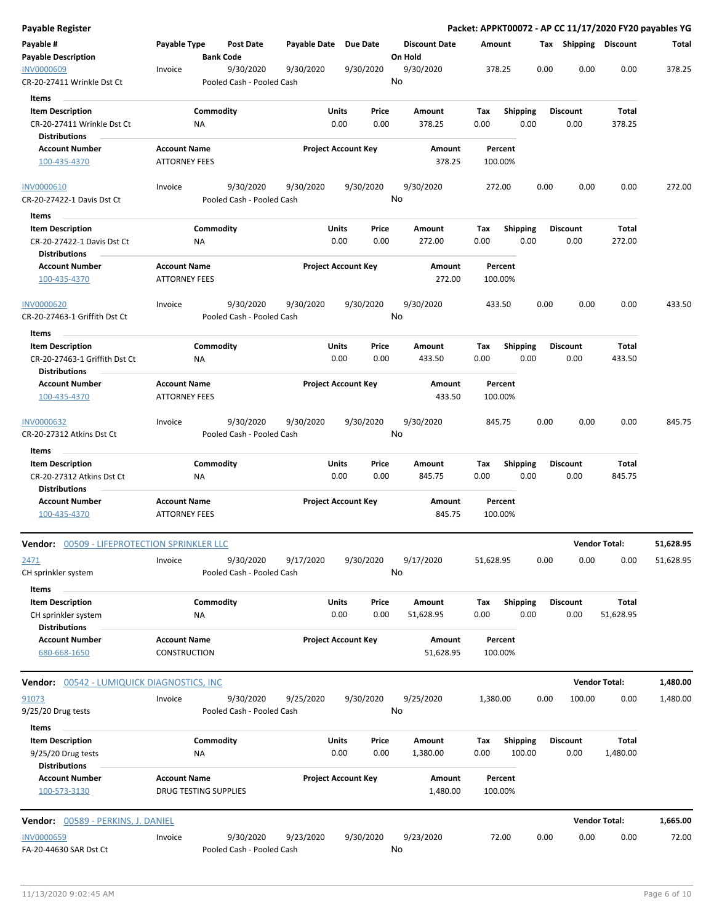| Payable Type<br><b>Post Date</b><br>Payable Date Due Date<br><b>Discount Date</b><br>Tax Shipping Discount<br>Amount<br>Total<br>On Hold<br><b>Payable Description</b><br><b>Bank Code</b><br>9/30/2020<br>9/30/2020<br>378.25<br>0.00<br>0.00<br>0.00<br>378.25<br>9/30/2020<br>9/30/2020<br>Invoice<br>No<br>CR-20-27411 Wrinkle Dst Ct<br>Pooled Cash - Pooled Cash<br>Items<br>Commodity<br>Units<br>Price<br>Amount<br>Total<br><b>Item Description</b><br>Tax<br><b>Shipping</b><br><b>Discount</b><br>CR-20-27411 Wrinkle Dst Ct<br>0.00<br>0.00<br>378.25<br>0.00<br>0.00<br>0.00<br>378.25<br>ΝA<br><b>Distributions</b><br><b>Account Number</b><br><b>Account Name</b><br><b>Project Account Key</b><br>Amount<br>Percent<br>100-435-4370<br><b>ATTORNEY FEES</b><br>378.25<br>100.00%<br>9/30/2020<br>9/30/2020<br>9/30/2020<br>9/30/2020<br>272.00<br>0.00<br>0.00<br>0.00<br>Invoice<br>No<br>CR-20-27422-1 Davis Dst Ct<br>Pooled Cash - Pooled Cash<br>Items<br>Commodity<br>Units<br>Price<br>Amount<br>Tax<br><b>Shipping</b><br><b>Discount</b><br>Total<br><b>Item Description</b><br>0.00<br>0.00<br>0.00<br>0.00<br>0.00<br>CR-20-27422-1 Davis Dst Ct<br><b>NA</b><br>272.00<br>272.00<br><b>Distributions</b><br><b>Account Number</b><br><b>Account Name</b><br><b>Project Account Key</b><br>Amount<br>Percent<br><b>ATTORNEY FEES</b><br>272.00<br>100.00%<br>100-435-4370<br>9/30/2020<br>9/30/2020<br>9/30/2020<br>9/30/2020<br>433.50<br>0.00<br>0.00<br>0.00<br>Invoice<br>No<br>Pooled Cash - Pooled Cash<br>Items<br>Commodity<br>Units<br>Price<br><b>Shipping</b><br><b>Discount</b><br><b>Item Description</b><br>Amount<br>Tax<br>Total<br>0.00<br>0.00<br>0.00<br>0.00<br>433.50<br>CR-20-27463-1 Griffith Dst Ct<br>NA<br>433.50<br>0.00<br><b>Distributions</b><br><b>Account Number</b><br><b>Account Name</b><br><b>Project Account Key</b><br>Amount<br>Percent<br>100-435-4370<br><b>ATTORNEY FEES</b><br>433.50<br>100.00%<br>9/30/2020<br>9/30/2020<br>9/30/2020<br>0.00<br>9/30/2020<br>845.75<br>0.00<br>0.00<br>845.75<br>Invoice<br>No<br>CR-20-27312 Atkins Dst Ct<br>Pooled Cash - Pooled Cash<br>Items<br><b>Item Description</b><br>Commodity<br>Units<br>Price<br>Total<br>Amount<br>Tax<br><b>Shipping</b><br><b>Discount</b><br>CR-20-27312 Atkins Dst Ct<br>0.00<br>0.00<br>0.00<br>0.00<br>0.00<br>845.75<br>ΝA<br>845.75<br><b>Distributions</b><br><b>Account Name</b><br><b>Project Account Key</b><br><b>Account Number</b><br>Amount<br>Percent<br>100-435-4370<br><b>ATTORNEY FEES</b><br>845.75<br>100.00%<br><b>Vendor Total:</b><br>51,628.95<br>Vendor: 00509 - LIFEPROTECTION SPRINKLER LLC<br>9/30/2020<br>9/17/2020<br>9/30/2020<br>9/17/2020<br>0.00<br>51,628.95<br>Invoice<br>51,628.95<br>0.00<br>0.00<br>No<br>Pooled Cash - Pooled Cash<br>Items<br><b>Item Description</b><br>Commodity<br>Units<br><b>Shipping</b><br><b>Discount</b><br>Price<br>Amount<br>Tax<br>Total<br>0.00<br>0.00<br>0.00<br>51,628.95<br>0.00<br>0.00<br>51,628.95<br>CH sprinkler system<br>NA<br><b>Distributions</b><br><b>Account Number</b><br><b>Account Name</b><br><b>Project Account Key</b><br>Amount<br>Percent<br>680-668-1650<br><b>CONSTRUCTION</b><br>51,628.95<br>100.00%<br><b>Vendor Total:</b><br>Vendor: 00542 - LUMIQUICK DIAGNOSTICS, INC<br>0.00<br>100.00<br>0.00<br>91073<br>Invoice<br>9/30/2020<br>9/25/2020<br>9/30/2020<br>9/25/2020<br>1,380.00<br>No<br>9/25/20 Drug tests<br>Pooled Cash - Pooled Cash<br>Items<br>Commodity<br>Units<br>Amount<br><b>Shipping</b><br><b>Total</b><br><b>Item Description</b><br>Price<br>Tax<br><b>Discount</b><br>0.00<br>9/25/20 Drug tests<br>0.00<br>1,380.00<br>0.00<br>100.00<br>0.00<br>1,480.00<br>ΝA<br><b>Distributions</b><br><b>Account Number</b><br><b>Account Name</b><br><b>Project Account Key</b><br>Amount<br>Percent<br>DRUG TESTING SUPPLIES<br>1,480.00<br>100-573-3130<br>100.00%<br><b>Vendor Total:</b><br>Vendor: 00589 - PERKINS, J. DANIEL<br><b>INV0000659</b><br>9/30/2020<br>9/23/2020<br>9/30/2020<br>9/23/2020<br>72.00<br>0.00<br>0.00<br>0.00<br>Invoice<br>No<br>Pooled Cash - Pooled Cash | <b>Payable Register</b>       |  |  |  |  |  | Packet: APPKT00072 - AP CC 11/17/2020 FY20 payables YG |
|---------------------------------------------------------------------------------------------------------------------------------------------------------------------------------------------------------------------------------------------------------------------------------------------------------------------------------------------------------------------------------------------------------------------------------------------------------------------------------------------------------------------------------------------------------------------------------------------------------------------------------------------------------------------------------------------------------------------------------------------------------------------------------------------------------------------------------------------------------------------------------------------------------------------------------------------------------------------------------------------------------------------------------------------------------------------------------------------------------------------------------------------------------------------------------------------------------------------------------------------------------------------------------------------------------------------------------------------------------------------------------------------------------------------------------------------------------------------------------------------------------------------------------------------------------------------------------------------------------------------------------------------------------------------------------------------------------------------------------------------------------------------------------------------------------------------------------------------------------------------------------------------------------------------------------------------------------------------------------------------------------------------------------------------------------------------------------------------------------------------------------------------------------------------------------------------------------------------------------------------------------------------------------------------------------------------------------------------------------------------------------------------------------------------------------------------------------------------------------------------------------------------------------------------------------------------------------------------------------------------------------------------------------------------------------------------------------------------------------------------------------------------------------------------------------------------------------------------------------------------------------------------------------------------------------------------------------------------------------------------------------------------------------------------------------------------------------------------------------------------------------------------------------------------------------------------------------------------------------------------------------------------------------------------------------------------------------------------------------------------------------------------------------------------------------------------------------------------------------------------------------------------------------------------------------------------------------------------------------------------------------------------------------------------------------------------------------------------------------------------------------------------------------------------------------------------------------------------------------------------------------------------------------------------------------------------------------------------------------------------------------------------------------------------------------------------------------------------------------------------------------------------------------|-------------------------------|--|--|--|--|--|--------------------------------------------------------|
|                                                                                                                                                                                                                                                                                                                                                                                                                                                                                                                                                                                                                                                                                                                                                                                                                                                                                                                                                                                                                                                                                                                                                                                                                                                                                                                                                                                                                                                                                                                                                                                                                                                                                                                                                                                                                                                                                                                                                                                                                                                                                                                                                                                                                                                                                                                                                                                                                                                                                                                                                                                                                                                                                                                                                                                                                                                                                                                                                                                                                                                                                                                                                                                                                                                                                                                                                                                                                                                                                                                                                                                                                                                                                                                                                                                                                                                                                                                                                                                                                                                                                                                                                         | Payable #                     |  |  |  |  |  |                                                        |
|                                                                                                                                                                                                                                                                                                                                                                                                                                                                                                                                                                                                                                                                                                                                                                                                                                                                                                                                                                                                                                                                                                                                                                                                                                                                                                                                                                                                                                                                                                                                                                                                                                                                                                                                                                                                                                                                                                                                                                                                                                                                                                                                                                                                                                                                                                                                                                                                                                                                                                                                                                                                                                                                                                                                                                                                                                                                                                                                                                                                                                                                                                                                                                                                                                                                                                                                                                                                                                                                                                                                                                                                                                                                                                                                                                                                                                                                                                                                                                                                                                                                                                                                                         | INV0000609                    |  |  |  |  |  |                                                        |
|                                                                                                                                                                                                                                                                                                                                                                                                                                                                                                                                                                                                                                                                                                                                                                                                                                                                                                                                                                                                                                                                                                                                                                                                                                                                                                                                                                                                                                                                                                                                                                                                                                                                                                                                                                                                                                                                                                                                                                                                                                                                                                                                                                                                                                                                                                                                                                                                                                                                                                                                                                                                                                                                                                                                                                                                                                                                                                                                                                                                                                                                                                                                                                                                                                                                                                                                                                                                                                                                                                                                                                                                                                                                                                                                                                                                                                                                                                                                                                                                                                                                                                                                                         |                               |  |  |  |  |  |                                                        |
|                                                                                                                                                                                                                                                                                                                                                                                                                                                                                                                                                                                                                                                                                                                                                                                                                                                                                                                                                                                                                                                                                                                                                                                                                                                                                                                                                                                                                                                                                                                                                                                                                                                                                                                                                                                                                                                                                                                                                                                                                                                                                                                                                                                                                                                                                                                                                                                                                                                                                                                                                                                                                                                                                                                                                                                                                                                                                                                                                                                                                                                                                                                                                                                                                                                                                                                                                                                                                                                                                                                                                                                                                                                                                                                                                                                                                                                                                                                                                                                                                                                                                                                                                         |                               |  |  |  |  |  |                                                        |
|                                                                                                                                                                                                                                                                                                                                                                                                                                                                                                                                                                                                                                                                                                                                                                                                                                                                                                                                                                                                                                                                                                                                                                                                                                                                                                                                                                                                                                                                                                                                                                                                                                                                                                                                                                                                                                                                                                                                                                                                                                                                                                                                                                                                                                                                                                                                                                                                                                                                                                                                                                                                                                                                                                                                                                                                                                                                                                                                                                                                                                                                                                                                                                                                                                                                                                                                                                                                                                                                                                                                                                                                                                                                                                                                                                                                                                                                                                                                                                                                                                                                                                                                                         |                               |  |  |  |  |  |                                                        |
|                                                                                                                                                                                                                                                                                                                                                                                                                                                                                                                                                                                                                                                                                                                                                                                                                                                                                                                                                                                                                                                                                                                                                                                                                                                                                                                                                                                                                                                                                                                                                                                                                                                                                                                                                                                                                                                                                                                                                                                                                                                                                                                                                                                                                                                                                                                                                                                                                                                                                                                                                                                                                                                                                                                                                                                                                                                                                                                                                                                                                                                                                                                                                                                                                                                                                                                                                                                                                                                                                                                                                                                                                                                                                                                                                                                                                                                                                                                                                                                                                                                                                                                                                         |                               |  |  |  |  |  |                                                        |
|                                                                                                                                                                                                                                                                                                                                                                                                                                                                                                                                                                                                                                                                                                                                                                                                                                                                                                                                                                                                                                                                                                                                                                                                                                                                                                                                                                                                                                                                                                                                                                                                                                                                                                                                                                                                                                                                                                                                                                                                                                                                                                                                                                                                                                                                                                                                                                                                                                                                                                                                                                                                                                                                                                                                                                                                                                                                                                                                                                                                                                                                                                                                                                                                                                                                                                                                                                                                                                                                                                                                                                                                                                                                                                                                                                                                                                                                                                                                                                                                                                                                                                                                                         |                               |  |  |  |  |  |                                                        |
|                                                                                                                                                                                                                                                                                                                                                                                                                                                                                                                                                                                                                                                                                                                                                                                                                                                                                                                                                                                                                                                                                                                                                                                                                                                                                                                                                                                                                                                                                                                                                                                                                                                                                                                                                                                                                                                                                                                                                                                                                                                                                                                                                                                                                                                                                                                                                                                                                                                                                                                                                                                                                                                                                                                                                                                                                                                                                                                                                                                                                                                                                                                                                                                                                                                                                                                                                                                                                                                                                                                                                                                                                                                                                                                                                                                                                                                                                                                                                                                                                                                                                                                                                         |                               |  |  |  |  |  |                                                        |
| 272.00<br>433.50                                                                                                                                                                                                                                                                                                                                                                                                                                                                                                                                                                                                                                                                                                                                                                                                                                                                                                                                                                                                                                                                                                                                                                                                                                                                                                                                                                                                                                                                                                                                                                                                                                                                                                                                                                                                                                                                                                                                                                                                                                                                                                                                                                                                                                                                                                                                                                                                                                                                                                                                                                                                                                                                                                                                                                                                                                                                                                                                                                                                                                                                                                                                                                                                                                                                                                                                                                                                                                                                                                                                                                                                                                                                                                                                                                                                                                                                                                                                                                                                                                                                                                                                        |                               |  |  |  |  |  |                                                        |
|                                                                                                                                                                                                                                                                                                                                                                                                                                                                                                                                                                                                                                                                                                                                                                                                                                                                                                                                                                                                                                                                                                                                                                                                                                                                                                                                                                                                                                                                                                                                                                                                                                                                                                                                                                                                                                                                                                                                                                                                                                                                                                                                                                                                                                                                                                                                                                                                                                                                                                                                                                                                                                                                                                                                                                                                                                                                                                                                                                                                                                                                                                                                                                                                                                                                                                                                                                                                                                                                                                                                                                                                                                                                                                                                                                                                                                                                                                                                                                                                                                                                                                                                                         | <b>INV0000610</b>             |  |  |  |  |  |                                                        |
|                                                                                                                                                                                                                                                                                                                                                                                                                                                                                                                                                                                                                                                                                                                                                                                                                                                                                                                                                                                                                                                                                                                                                                                                                                                                                                                                                                                                                                                                                                                                                                                                                                                                                                                                                                                                                                                                                                                                                                                                                                                                                                                                                                                                                                                                                                                                                                                                                                                                                                                                                                                                                                                                                                                                                                                                                                                                                                                                                                                                                                                                                                                                                                                                                                                                                                                                                                                                                                                                                                                                                                                                                                                                                                                                                                                                                                                                                                                                                                                                                                                                                                                                                         |                               |  |  |  |  |  |                                                        |
|                                                                                                                                                                                                                                                                                                                                                                                                                                                                                                                                                                                                                                                                                                                                                                                                                                                                                                                                                                                                                                                                                                                                                                                                                                                                                                                                                                                                                                                                                                                                                                                                                                                                                                                                                                                                                                                                                                                                                                                                                                                                                                                                                                                                                                                                                                                                                                                                                                                                                                                                                                                                                                                                                                                                                                                                                                                                                                                                                                                                                                                                                                                                                                                                                                                                                                                                                                                                                                                                                                                                                                                                                                                                                                                                                                                                                                                                                                                                                                                                                                                                                                                                                         |                               |  |  |  |  |  |                                                        |
|                                                                                                                                                                                                                                                                                                                                                                                                                                                                                                                                                                                                                                                                                                                                                                                                                                                                                                                                                                                                                                                                                                                                                                                                                                                                                                                                                                                                                                                                                                                                                                                                                                                                                                                                                                                                                                                                                                                                                                                                                                                                                                                                                                                                                                                                                                                                                                                                                                                                                                                                                                                                                                                                                                                                                                                                                                                                                                                                                                                                                                                                                                                                                                                                                                                                                                                                                                                                                                                                                                                                                                                                                                                                                                                                                                                                                                                                                                                                                                                                                                                                                                                                                         |                               |  |  |  |  |  |                                                        |
|                                                                                                                                                                                                                                                                                                                                                                                                                                                                                                                                                                                                                                                                                                                                                                                                                                                                                                                                                                                                                                                                                                                                                                                                                                                                                                                                                                                                                                                                                                                                                                                                                                                                                                                                                                                                                                                                                                                                                                                                                                                                                                                                                                                                                                                                                                                                                                                                                                                                                                                                                                                                                                                                                                                                                                                                                                                                                                                                                                                                                                                                                                                                                                                                                                                                                                                                                                                                                                                                                                                                                                                                                                                                                                                                                                                                                                                                                                                                                                                                                                                                                                                                                         |                               |  |  |  |  |  |                                                        |
|                                                                                                                                                                                                                                                                                                                                                                                                                                                                                                                                                                                                                                                                                                                                                                                                                                                                                                                                                                                                                                                                                                                                                                                                                                                                                                                                                                                                                                                                                                                                                                                                                                                                                                                                                                                                                                                                                                                                                                                                                                                                                                                                                                                                                                                                                                                                                                                                                                                                                                                                                                                                                                                                                                                                                                                                                                                                                                                                                                                                                                                                                                                                                                                                                                                                                                                                                                                                                                                                                                                                                                                                                                                                                                                                                                                                                                                                                                                                                                                                                                                                                                                                                         |                               |  |  |  |  |  |                                                        |
|                                                                                                                                                                                                                                                                                                                                                                                                                                                                                                                                                                                                                                                                                                                                                                                                                                                                                                                                                                                                                                                                                                                                                                                                                                                                                                                                                                                                                                                                                                                                                                                                                                                                                                                                                                                                                                                                                                                                                                                                                                                                                                                                                                                                                                                                                                                                                                                                                                                                                                                                                                                                                                                                                                                                                                                                                                                                                                                                                                                                                                                                                                                                                                                                                                                                                                                                                                                                                                                                                                                                                                                                                                                                                                                                                                                                                                                                                                                                                                                                                                                                                                                                                         | <b>INV0000620</b>             |  |  |  |  |  |                                                        |
|                                                                                                                                                                                                                                                                                                                                                                                                                                                                                                                                                                                                                                                                                                                                                                                                                                                                                                                                                                                                                                                                                                                                                                                                                                                                                                                                                                                                                                                                                                                                                                                                                                                                                                                                                                                                                                                                                                                                                                                                                                                                                                                                                                                                                                                                                                                                                                                                                                                                                                                                                                                                                                                                                                                                                                                                                                                                                                                                                                                                                                                                                                                                                                                                                                                                                                                                                                                                                                                                                                                                                                                                                                                                                                                                                                                                                                                                                                                                                                                                                                                                                                                                                         | CR-20-27463-1 Griffith Dst Ct |  |  |  |  |  |                                                        |
|                                                                                                                                                                                                                                                                                                                                                                                                                                                                                                                                                                                                                                                                                                                                                                                                                                                                                                                                                                                                                                                                                                                                                                                                                                                                                                                                                                                                                                                                                                                                                                                                                                                                                                                                                                                                                                                                                                                                                                                                                                                                                                                                                                                                                                                                                                                                                                                                                                                                                                                                                                                                                                                                                                                                                                                                                                                                                                                                                                                                                                                                                                                                                                                                                                                                                                                                                                                                                                                                                                                                                                                                                                                                                                                                                                                                                                                                                                                                                                                                                                                                                                                                                         |                               |  |  |  |  |  |                                                        |
|                                                                                                                                                                                                                                                                                                                                                                                                                                                                                                                                                                                                                                                                                                                                                                                                                                                                                                                                                                                                                                                                                                                                                                                                                                                                                                                                                                                                                                                                                                                                                                                                                                                                                                                                                                                                                                                                                                                                                                                                                                                                                                                                                                                                                                                                                                                                                                                                                                                                                                                                                                                                                                                                                                                                                                                                                                                                                                                                                                                                                                                                                                                                                                                                                                                                                                                                                                                                                                                                                                                                                                                                                                                                                                                                                                                                                                                                                                                                                                                                                                                                                                                                                         |                               |  |  |  |  |  |                                                        |
|                                                                                                                                                                                                                                                                                                                                                                                                                                                                                                                                                                                                                                                                                                                                                                                                                                                                                                                                                                                                                                                                                                                                                                                                                                                                                                                                                                                                                                                                                                                                                                                                                                                                                                                                                                                                                                                                                                                                                                                                                                                                                                                                                                                                                                                                                                                                                                                                                                                                                                                                                                                                                                                                                                                                                                                                                                                                                                                                                                                                                                                                                                                                                                                                                                                                                                                                                                                                                                                                                                                                                                                                                                                                                                                                                                                                                                                                                                                                                                                                                                                                                                                                                         |                               |  |  |  |  |  |                                                        |
|                                                                                                                                                                                                                                                                                                                                                                                                                                                                                                                                                                                                                                                                                                                                                                                                                                                                                                                                                                                                                                                                                                                                                                                                                                                                                                                                                                                                                                                                                                                                                                                                                                                                                                                                                                                                                                                                                                                                                                                                                                                                                                                                                                                                                                                                                                                                                                                                                                                                                                                                                                                                                                                                                                                                                                                                                                                                                                                                                                                                                                                                                                                                                                                                                                                                                                                                                                                                                                                                                                                                                                                                                                                                                                                                                                                                                                                                                                                                                                                                                                                                                                                                                         |                               |  |  |  |  |  |                                                        |
|                                                                                                                                                                                                                                                                                                                                                                                                                                                                                                                                                                                                                                                                                                                                                                                                                                                                                                                                                                                                                                                                                                                                                                                                                                                                                                                                                                                                                                                                                                                                                                                                                                                                                                                                                                                                                                                                                                                                                                                                                                                                                                                                                                                                                                                                                                                                                                                                                                                                                                                                                                                                                                                                                                                                                                                                                                                                                                                                                                                                                                                                                                                                                                                                                                                                                                                                                                                                                                                                                                                                                                                                                                                                                                                                                                                                                                                                                                                                                                                                                                                                                                                                                         |                               |  |  |  |  |  |                                                        |
|                                                                                                                                                                                                                                                                                                                                                                                                                                                                                                                                                                                                                                                                                                                                                                                                                                                                                                                                                                                                                                                                                                                                                                                                                                                                                                                                                                                                                                                                                                                                                                                                                                                                                                                                                                                                                                                                                                                                                                                                                                                                                                                                                                                                                                                                                                                                                                                                                                                                                                                                                                                                                                                                                                                                                                                                                                                                                                                                                                                                                                                                                                                                                                                                                                                                                                                                                                                                                                                                                                                                                                                                                                                                                                                                                                                                                                                                                                                                                                                                                                                                                                                                                         | <b>INV0000632</b>             |  |  |  |  |  |                                                        |
|                                                                                                                                                                                                                                                                                                                                                                                                                                                                                                                                                                                                                                                                                                                                                                                                                                                                                                                                                                                                                                                                                                                                                                                                                                                                                                                                                                                                                                                                                                                                                                                                                                                                                                                                                                                                                                                                                                                                                                                                                                                                                                                                                                                                                                                                                                                                                                                                                                                                                                                                                                                                                                                                                                                                                                                                                                                                                                                                                                                                                                                                                                                                                                                                                                                                                                                                                                                                                                                                                                                                                                                                                                                                                                                                                                                                                                                                                                                                                                                                                                                                                                                                                         |                               |  |  |  |  |  |                                                        |
|                                                                                                                                                                                                                                                                                                                                                                                                                                                                                                                                                                                                                                                                                                                                                                                                                                                                                                                                                                                                                                                                                                                                                                                                                                                                                                                                                                                                                                                                                                                                                                                                                                                                                                                                                                                                                                                                                                                                                                                                                                                                                                                                                                                                                                                                                                                                                                                                                                                                                                                                                                                                                                                                                                                                                                                                                                                                                                                                                                                                                                                                                                                                                                                                                                                                                                                                                                                                                                                                                                                                                                                                                                                                                                                                                                                                                                                                                                                                                                                                                                                                                                                                                         |                               |  |  |  |  |  |                                                        |
|                                                                                                                                                                                                                                                                                                                                                                                                                                                                                                                                                                                                                                                                                                                                                                                                                                                                                                                                                                                                                                                                                                                                                                                                                                                                                                                                                                                                                                                                                                                                                                                                                                                                                                                                                                                                                                                                                                                                                                                                                                                                                                                                                                                                                                                                                                                                                                                                                                                                                                                                                                                                                                                                                                                                                                                                                                                                                                                                                                                                                                                                                                                                                                                                                                                                                                                                                                                                                                                                                                                                                                                                                                                                                                                                                                                                                                                                                                                                                                                                                                                                                                                                                         |                               |  |  |  |  |  |                                                        |
|                                                                                                                                                                                                                                                                                                                                                                                                                                                                                                                                                                                                                                                                                                                                                                                                                                                                                                                                                                                                                                                                                                                                                                                                                                                                                                                                                                                                                                                                                                                                                                                                                                                                                                                                                                                                                                                                                                                                                                                                                                                                                                                                                                                                                                                                                                                                                                                                                                                                                                                                                                                                                                                                                                                                                                                                                                                                                                                                                                                                                                                                                                                                                                                                                                                                                                                                                                                                                                                                                                                                                                                                                                                                                                                                                                                                                                                                                                                                                                                                                                                                                                                                                         |                               |  |  |  |  |  |                                                        |
|                                                                                                                                                                                                                                                                                                                                                                                                                                                                                                                                                                                                                                                                                                                                                                                                                                                                                                                                                                                                                                                                                                                                                                                                                                                                                                                                                                                                                                                                                                                                                                                                                                                                                                                                                                                                                                                                                                                                                                                                                                                                                                                                                                                                                                                                                                                                                                                                                                                                                                                                                                                                                                                                                                                                                                                                                                                                                                                                                                                                                                                                                                                                                                                                                                                                                                                                                                                                                                                                                                                                                                                                                                                                                                                                                                                                                                                                                                                                                                                                                                                                                                                                                         |                               |  |  |  |  |  |                                                        |
|                                                                                                                                                                                                                                                                                                                                                                                                                                                                                                                                                                                                                                                                                                                                                                                                                                                                                                                                                                                                                                                                                                                                                                                                                                                                                                                                                                                                                                                                                                                                                                                                                                                                                                                                                                                                                                                                                                                                                                                                                                                                                                                                                                                                                                                                                                                                                                                                                                                                                                                                                                                                                                                                                                                                                                                                                                                                                                                                                                                                                                                                                                                                                                                                                                                                                                                                                                                                                                                                                                                                                                                                                                                                                                                                                                                                                                                                                                                                                                                                                                                                                                                                                         |                               |  |  |  |  |  |                                                        |
| 1,480.00<br>1,480.00<br>1,665.00<br>72.00                                                                                                                                                                                                                                                                                                                                                                                                                                                                                                                                                                                                                                                                                                                                                                                                                                                                                                                                                                                                                                                                                                                                                                                                                                                                                                                                                                                                                                                                                                                                                                                                                                                                                                                                                                                                                                                                                                                                                                                                                                                                                                                                                                                                                                                                                                                                                                                                                                                                                                                                                                                                                                                                                                                                                                                                                                                                                                                                                                                                                                                                                                                                                                                                                                                                                                                                                                                                                                                                                                                                                                                                                                                                                                                                                                                                                                                                                                                                                                                                                                                                                                               | 2471                          |  |  |  |  |  |                                                        |
|                                                                                                                                                                                                                                                                                                                                                                                                                                                                                                                                                                                                                                                                                                                                                                                                                                                                                                                                                                                                                                                                                                                                                                                                                                                                                                                                                                                                                                                                                                                                                                                                                                                                                                                                                                                                                                                                                                                                                                                                                                                                                                                                                                                                                                                                                                                                                                                                                                                                                                                                                                                                                                                                                                                                                                                                                                                                                                                                                                                                                                                                                                                                                                                                                                                                                                                                                                                                                                                                                                                                                                                                                                                                                                                                                                                                                                                                                                                                                                                                                                                                                                                                                         | CH sprinkler system           |  |  |  |  |  |                                                        |
|                                                                                                                                                                                                                                                                                                                                                                                                                                                                                                                                                                                                                                                                                                                                                                                                                                                                                                                                                                                                                                                                                                                                                                                                                                                                                                                                                                                                                                                                                                                                                                                                                                                                                                                                                                                                                                                                                                                                                                                                                                                                                                                                                                                                                                                                                                                                                                                                                                                                                                                                                                                                                                                                                                                                                                                                                                                                                                                                                                                                                                                                                                                                                                                                                                                                                                                                                                                                                                                                                                                                                                                                                                                                                                                                                                                                                                                                                                                                                                                                                                                                                                                                                         |                               |  |  |  |  |  |                                                        |
|                                                                                                                                                                                                                                                                                                                                                                                                                                                                                                                                                                                                                                                                                                                                                                                                                                                                                                                                                                                                                                                                                                                                                                                                                                                                                                                                                                                                                                                                                                                                                                                                                                                                                                                                                                                                                                                                                                                                                                                                                                                                                                                                                                                                                                                                                                                                                                                                                                                                                                                                                                                                                                                                                                                                                                                                                                                                                                                                                                                                                                                                                                                                                                                                                                                                                                                                                                                                                                                                                                                                                                                                                                                                                                                                                                                                                                                                                                                                                                                                                                                                                                                                                         |                               |  |  |  |  |  |                                                        |
|                                                                                                                                                                                                                                                                                                                                                                                                                                                                                                                                                                                                                                                                                                                                                                                                                                                                                                                                                                                                                                                                                                                                                                                                                                                                                                                                                                                                                                                                                                                                                                                                                                                                                                                                                                                                                                                                                                                                                                                                                                                                                                                                                                                                                                                                                                                                                                                                                                                                                                                                                                                                                                                                                                                                                                                                                                                                                                                                                                                                                                                                                                                                                                                                                                                                                                                                                                                                                                                                                                                                                                                                                                                                                                                                                                                                                                                                                                                                                                                                                                                                                                                                                         |                               |  |  |  |  |  |                                                        |
|                                                                                                                                                                                                                                                                                                                                                                                                                                                                                                                                                                                                                                                                                                                                                                                                                                                                                                                                                                                                                                                                                                                                                                                                                                                                                                                                                                                                                                                                                                                                                                                                                                                                                                                                                                                                                                                                                                                                                                                                                                                                                                                                                                                                                                                                                                                                                                                                                                                                                                                                                                                                                                                                                                                                                                                                                                                                                                                                                                                                                                                                                                                                                                                                                                                                                                                                                                                                                                                                                                                                                                                                                                                                                                                                                                                                                                                                                                                                                                                                                                                                                                                                                         |                               |  |  |  |  |  |                                                        |
|                                                                                                                                                                                                                                                                                                                                                                                                                                                                                                                                                                                                                                                                                                                                                                                                                                                                                                                                                                                                                                                                                                                                                                                                                                                                                                                                                                                                                                                                                                                                                                                                                                                                                                                                                                                                                                                                                                                                                                                                                                                                                                                                                                                                                                                                                                                                                                                                                                                                                                                                                                                                                                                                                                                                                                                                                                                                                                                                                                                                                                                                                                                                                                                                                                                                                                                                                                                                                                                                                                                                                                                                                                                                                                                                                                                                                                                                                                                                                                                                                                                                                                                                                         |                               |  |  |  |  |  |                                                        |
|                                                                                                                                                                                                                                                                                                                                                                                                                                                                                                                                                                                                                                                                                                                                                                                                                                                                                                                                                                                                                                                                                                                                                                                                                                                                                                                                                                                                                                                                                                                                                                                                                                                                                                                                                                                                                                                                                                                                                                                                                                                                                                                                                                                                                                                                                                                                                                                                                                                                                                                                                                                                                                                                                                                                                                                                                                                                                                                                                                                                                                                                                                                                                                                                                                                                                                                                                                                                                                                                                                                                                                                                                                                                                                                                                                                                                                                                                                                                                                                                                                                                                                                                                         |                               |  |  |  |  |  |                                                        |
|                                                                                                                                                                                                                                                                                                                                                                                                                                                                                                                                                                                                                                                                                                                                                                                                                                                                                                                                                                                                                                                                                                                                                                                                                                                                                                                                                                                                                                                                                                                                                                                                                                                                                                                                                                                                                                                                                                                                                                                                                                                                                                                                                                                                                                                                                                                                                                                                                                                                                                                                                                                                                                                                                                                                                                                                                                                                                                                                                                                                                                                                                                                                                                                                                                                                                                                                                                                                                                                                                                                                                                                                                                                                                                                                                                                                                                                                                                                                                                                                                                                                                                                                                         |                               |  |  |  |  |  |                                                        |
|                                                                                                                                                                                                                                                                                                                                                                                                                                                                                                                                                                                                                                                                                                                                                                                                                                                                                                                                                                                                                                                                                                                                                                                                                                                                                                                                                                                                                                                                                                                                                                                                                                                                                                                                                                                                                                                                                                                                                                                                                                                                                                                                                                                                                                                                                                                                                                                                                                                                                                                                                                                                                                                                                                                                                                                                                                                                                                                                                                                                                                                                                                                                                                                                                                                                                                                                                                                                                                                                                                                                                                                                                                                                                                                                                                                                                                                                                                                                                                                                                                                                                                                                                         |                               |  |  |  |  |  |                                                        |
|                                                                                                                                                                                                                                                                                                                                                                                                                                                                                                                                                                                                                                                                                                                                                                                                                                                                                                                                                                                                                                                                                                                                                                                                                                                                                                                                                                                                                                                                                                                                                                                                                                                                                                                                                                                                                                                                                                                                                                                                                                                                                                                                                                                                                                                                                                                                                                                                                                                                                                                                                                                                                                                                                                                                                                                                                                                                                                                                                                                                                                                                                                                                                                                                                                                                                                                                                                                                                                                                                                                                                                                                                                                                                                                                                                                                                                                                                                                                                                                                                                                                                                                                                         |                               |  |  |  |  |  |                                                        |
|                                                                                                                                                                                                                                                                                                                                                                                                                                                                                                                                                                                                                                                                                                                                                                                                                                                                                                                                                                                                                                                                                                                                                                                                                                                                                                                                                                                                                                                                                                                                                                                                                                                                                                                                                                                                                                                                                                                                                                                                                                                                                                                                                                                                                                                                                                                                                                                                                                                                                                                                                                                                                                                                                                                                                                                                                                                                                                                                                                                                                                                                                                                                                                                                                                                                                                                                                                                                                                                                                                                                                                                                                                                                                                                                                                                                                                                                                                                                                                                                                                                                                                                                                         |                               |  |  |  |  |  |                                                        |
|                                                                                                                                                                                                                                                                                                                                                                                                                                                                                                                                                                                                                                                                                                                                                                                                                                                                                                                                                                                                                                                                                                                                                                                                                                                                                                                                                                                                                                                                                                                                                                                                                                                                                                                                                                                                                                                                                                                                                                                                                                                                                                                                                                                                                                                                                                                                                                                                                                                                                                                                                                                                                                                                                                                                                                                                                                                                                                                                                                                                                                                                                                                                                                                                                                                                                                                                                                                                                                                                                                                                                                                                                                                                                                                                                                                                                                                                                                                                                                                                                                                                                                                                                         |                               |  |  |  |  |  |                                                        |
|                                                                                                                                                                                                                                                                                                                                                                                                                                                                                                                                                                                                                                                                                                                                                                                                                                                                                                                                                                                                                                                                                                                                                                                                                                                                                                                                                                                                                                                                                                                                                                                                                                                                                                                                                                                                                                                                                                                                                                                                                                                                                                                                                                                                                                                                                                                                                                                                                                                                                                                                                                                                                                                                                                                                                                                                                                                                                                                                                                                                                                                                                                                                                                                                                                                                                                                                                                                                                                                                                                                                                                                                                                                                                                                                                                                                                                                                                                                                                                                                                                                                                                                                                         |                               |  |  |  |  |  |                                                        |
|                                                                                                                                                                                                                                                                                                                                                                                                                                                                                                                                                                                                                                                                                                                                                                                                                                                                                                                                                                                                                                                                                                                                                                                                                                                                                                                                                                                                                                                                                                                                                                                                                                                                                                                                                                                                                                                                                                                                                                                                                                                                                                                                                                                                                                                                                                                                                                                                                                                                                                                                                                                                                                                                                                                                                                                                                                                                                                                                                                                                                                                                                                                                                                                                                                                                                                                                                                                                                                                                                                                                                                                                                                                                                                                                                                                                                                                                                                                                                                                                                                                                                                                                                         |                               |  |  |  |  |  |                                                        |
|                                                                                                                                                                                                                                                                                                                                                                                                                                                                                                                                                                                                                                                                                                                                                                                                                                                                                                                                                                                                                                                                                                                                                                                                                                                                                                                                                                                                                                                                                                                                                                                                                                                                                                                                                                                                                                                                                                                                                                                                                                                                                                                                                                                                                                                                                                                                                                                                                                                                                                                                                                                                                                                                                                                                                                                                                                                                                                                                                                                                                                                                                                                                                                                                                                                                                                                                                                                                                                                                                                                                                                                                                                                                                                                                                                                                                                                                                                                                                                                                                                                                                                                                                         |                               |  |  |  |  |  |                                                        |
|                                                                                                                                                                                                                                                                                                                                                                                                                                                                                                                                                                                                                                                                                                                                                                                                                                                                                                                                                                                                                                                                                                                                                                                                                                                                                                                                                                                                                                                                                                                                                                                                                                                                                                                                                                                                                                                                                                                                                                                                                                                                                                                                                                                                                                                                                                                                                                                                                                                                                                                                                                                                                                                                                                                                                                                                                                                                                                                                                                                                                                                                                                                                                                                                                                                                                                                                                                                                                                                                                                                                                                                                                                                                                                                                                                                                                                                                                                                                                                                                                                                                                                                                                         |                               |  |  |  |  |  |                                                        |
|                                                                                                                                                                                                                                                                                                                                                                                                                                                                                                                                                                                                                                                                                                                                                                                                                                                                                                                                                                                                                                                                                                                                                                                                                                                                                                                                                                                                                                                                                                                                                                                                                                                                                                                                                                                                                                                                                                                                                                                                                                                                                                                                                                                                                                                                                                                                                                                                                                                                                                                                                                                                                                                                                                                                                                                                                                                                                                                                                                                                                                                                                                                                                                                                                                                                                                                                                                                                                                                                                                                                                                                                                                                                                                                                                                                                                                                                                                                                                                                                                                                                                                                                                         |                               |  |  |  |  |  |                                                        |
|                                                                                                                                                                                                                                                                                                                                                                                                                                                                                                                                                                                                                                                                                                                                                                                                                                                                                                                                                                                                                                                                                                                                                                                                                                                                                                                                                                                                                                                                                                                                                                                                                                                                                                                                                                                                                                                                                                                                                                                                                                                                                                                                                                                                                                                                                                                                                                                                                                                                                                                                                                                                                                                                                                                                                                                                                                                                                                                                                                                                                                                                                                                                                                                                                                                                                                                                                                                                                                                                                                                                                                                                                                                                                                                                                                                                                                                                                                                                                                                                                                                                                                                                                         | FA-20-44630 SAR Dst Ct        |  |  |  |  |  |                                                        |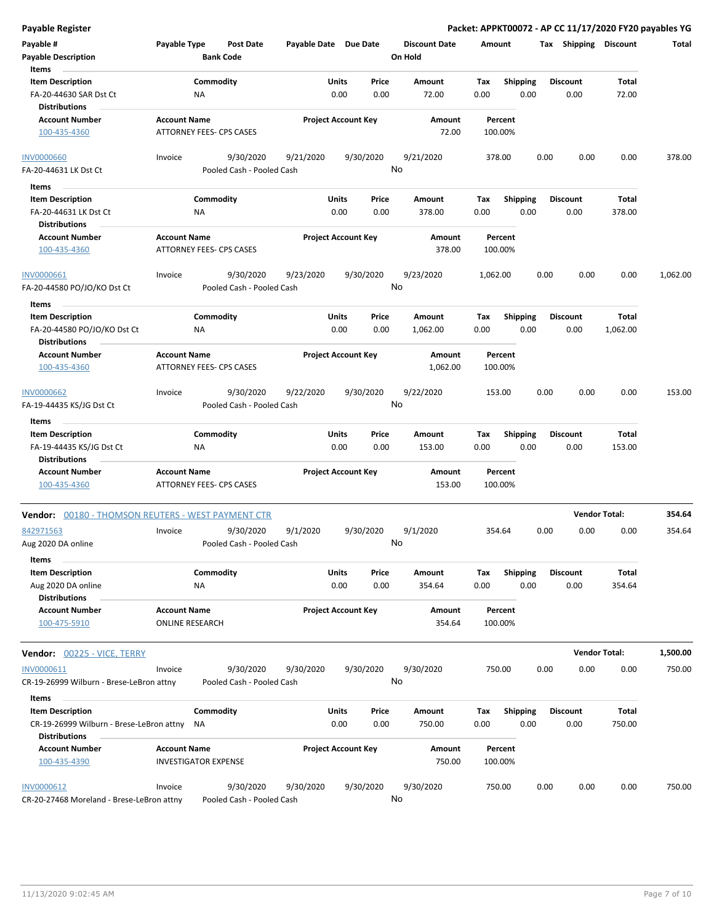| <b>Payable Register</b>                            |                             |                                 |                            |               |               |                      |             |                         |      |                         |                 | Packet: APPKT00072 - AP CC 11/17/2020 FY20 payables YG |
|----------------------------------------------------|-----------------------------|---------------------------------|----------------------------|---------------|---------------|----------------------|-------------|-------------------------|------|-------------------------|-----------------|--------------------------------------------------------|
| Payable #                                          | Payable Type                | <b>Post Date</b>                | Payable Date Due Date      |               |               | <b>Discount Date</b> | Amount      |                         |      | Tax Shipping Discount   |                 | Total                                                  |
| <b>Payable Description</b>                         |                             | <b>Bank Code</b>                |                            |               |               | On Hold              |             |                         |      |                         |                 |                                                        |
| Items                                              |                             |                                 |                            |               |               |                      |             |                         |      |                         |                 |                                                        |
| <b>Item Description</b>                            |                             | Commodity                       |                            | Units         | Price         | Amount               | Tax         | <b>Shipping</b>         |      | <b>Discount</b>         | Total           |                                                        |
| FA-20-44630 SAR Dst Ct                             | ΝA                          |                                 |                            | 0.00          | 0.00          | 72.00                | 0.00        | 0.00                    |      | 0.00                    | 72.00           |                                                        |
| <b>Distributions</b>                               |                             |                                 |                            |               |               |                      |             |                         |      |                         |                 |                                                        |
| <b>Account Number</b>                              | <b>Account Name</b>         |                                 | <b>Project Account Key</b> |               |               | Amount               |             | Percent                 |      |                         |                 |                                                        |
| 100-435-4360                                       |                             | ATTORNEY FEES- CPS CASES        |                            |               |               | 72.00                |             | 100.00%                 |      |                         |                 |                                                        |
| <b>INV0000660</b>                                  | Invoice                     | 9/30/2020                       | 9/21/2020                  |               | 9/30/2020     | 9/21/2020            |             | 378.00                  | 0.00 | 0.00                    | 0.00            | 378.00                                                 |
| FA-20-44631 LK Dst Ct                              |                             | Pooled Cash - Pooled Cash       |                            |               |               | No                   |             |                         |      |                         |                 |                                                        |
| Items                                              |                             |                                 |                            |               |               |                      |             |                         |      |                         |                 |                                                        |
| <b>Item Description</b><br>FA-20-44631 LK Dst Ct   | ΝA                          | Commodity                       |                            | Units<br>0.00 | Price<br>0.00 | Amount<br>378.00     | Tax<br>0.00 | <b>Shipping</b><br>0.00 |      | <b>Discount</b><br>0.00 | Total<br>378.00 |                                                        |
| <b>Distributions</b>                               |                             |                                 |                            |               |               |                      |             |                         |      |                         |                 |                                                        |
| <b>Account Number</b><br>100-435-4360              | <b>Account Name</b>         | <b>ATTORNEY FEES- CPS CASES</b> | <b>Project Account Key</b> |               |               | Amount<br>378.00     |             | Percent<br>100.00%      |      |                         |                 |                                                        |
| <b>INV0000661</b>                                  | Invoice                     | 9/30/2020                       | 9/23/2020                  |               | 9/30/2020     | 9/23/2020            | 1,062.00    |                         | 0.00 | 0.00                    | 0.00            | 1,062.00                                               |
| FA-20-44580 PO/JO/KO Dst Ct                        |                             | Pooled Cash - Pooled Cash       |                            |               |               | No                   |             |                         |      |                         |                 |                                                        |
| Items                                              |                             |                                 |                            |               |               |                      |             |                         |      |                         |                 |                                                        |
| <b>Item Description</b>                            |                             | Commodity                       |                            | Units         | Price         | Amount               | Tax         | <b>Shipping</b>         |      | <b>Discount</b>         | Total           |                                                        |
| FA-20-44580 PO/JO/KO Dst Ct                        | NA                          |                                 |                            | 0.00          | 0.00          | 1,062.00             | 0.00        | 0.00                    |      | 0.00                    | 1,062.00        |                                                        |
| <b>Distributions</b>                               |                             |                                 |                            |               |               |                      |             |                         |      |                         |                 |                                                        |
| <b>Account Number</b>                              | <b>Account Name</b>         |                                 | <b>Project Account Key</b> |               |               | Amount               |             | Percent                 |      |                         |                 |                                                        |
| 100-435-4360                                       |                             | ATTORNEY FEES- CPS CASES        |                            |               |               | 1,062.00             |             | 100.00%                 |      |                         |                 |                                                        |
| <b>INV0000662</b>                                  | Invoice                     | 9/30/2020                       | 9/22/2020                  |               | 9/30/2020     | 9/22/2020            |             | 153.00                  | 0.00 | 0.00                    | 0.00            | 153.00                                                 |
| FA-19-44435 KS/JG Dst Ct                           |                             | Pooled Cash - Pooled Cash       |                            |               |               | No                   |             |                         |      |                         |                 |                                                        |
| Items                                              |                             |                                 |                            |               |               |                      |             |                         |      |                         |                 |                                                        |
| <b>Item Description</b>                            |                             | Commodity                       |                            | Units         | Price         | Amount               | Tax         | <b>Shipping</b>         |      | <b>Discount</b>         | <b>Total</b>    |                                                        |
| FA-19-44435 KS/JG Dst Ct                           | ΝA                          |                                 |                            | 0.00          | 0.00          | 153.00               | 0.00        | 0.00                    |      | 0.00                    | 153.00          |                                                        |
| <b>Distributions</b>                               |                             |                                 |                            |               |               |                      |             |                         |      |                         |                 |                                                        |
| <b>Account Number</b>                              | <b>Account Name</b>         |                                 | <b>Project Account Key</b> |               |               | Amount               |             | Percent                 |      |                         |                 |                                                        |
| 100-435-4360                                       |                             | ATTORNEY FEES- CPS CASES        |                            |               |               | 153.00               |             | 100.00%                 |      |                         |                 |                                                        |
| Vendor: 00180 - THOMSON REUTERS - WEST PAYMENT CTR |                             |                                 |                            |               |               |                      |             |                         |      | <b>Vendor Total:</b>    |                 | 354.64                                                 |
| 842971563                                          | Invoice                     | 9/30/2020                       | 9/1/2020                   |               | 9/30/2020     | 9/1/2020             |             | 354.64                  | 0.00 | 0.00                    | 0.00            | 354.64                                                 |
| Aug 2020 DA online                                 |                             | Pooled Cash - Pooled Cash       |                            |               |               | No                   |             |                         |      |                         |                 |                                                        |
| Items                                              |                             |                                 |                            |               |               |                      |             |                         |      |                         |                 |                                                        |
| <b>Item Description</b>                            |                             | Commodity                       |                            | Units         | Price         | Amount               | Тах         | <b>Shipping</b>         |      | <b>Discount</b>         | Total           |                                                        |
| Aug 2020 DA online                                 | ΝA                          |                                 |                            | 0.00          | 0.00          | 354.64               | 0.00        | 0.00                    |      | 0.00                    | 354.64          |                                                        |
| <b>Distributions</b>                               |                             |                                 |                            |               |               |                      |             |                         |      |                         |                 |                                                        |
| <b>Account Number</b>                              | <b>Account Name</b>         |                                 | <b>Project Account Key</b> |               |               | Amount               |             | Percent                 |      |                         |                 |                                                        |
| 100-475-5910                                       | <b>ONLINE RESEARCH</b>      |                                 |                            |               |               | 354.64               |             | 100.00%                 |      |                         |                 |                                                        |
| Vendor: 00225 - VICE, TERRY                        |                             |                                 |                            |               |               |                      |             |                         |      | <b>Vendor Total:</b>    |                 | 1,500.00                                               |
| INV0000611                                         | Invoice                     | 9/30/2020                       | 9/30/2020                  |               | 9/30/2020     | 9/30/2020            |             | 750.00                  | 0.00 | 0.00                    | 0.00            | 750.00                                                 |
| CR-19-26999 Wilburn - Brese-LeBron attny           |                             | Pooled Cash - Pooled Cash       |                            |               |               | No                   |             |                         |      |                         |                 |                                                        |
| Items                                              |                             |                                 |                            |               |               |                      |             |                         |      |                         |                 |                                                        |
| <b>Item Description</b>                            |                             | Commodity                       |                            | Units         | Price         | Amount               | Tax         | <b>Shipping</b>         |      | <b>Discount</b>         | <b>Total</b>    |                                                        |
| CR-19-26999 Wilburn - Brese-LeBron attny           | NA                          |                                 |                            | 0.00          | 0.00          | 750.00               | 0.00        | 0.00                    |      | 0.00                    | 750.00          |                                                        |
| <b>Distributions</b>                               |                             |                                 |                            |               |               |                      |             |                         |      |                         |                 |                                                        |
| <b>Account Number</b>                              | <b>Account Name</b>         |                                 | <b>Project Account Key</b> |               |               | Amount               |             | Percent                 |      |                         |                 |                                                        |
| 100-435-4390                                       | <b>INVESTIGATOR EXPENSE</b> |                                 |                            |               |               | 750.00               |             | 100.00%                 |      |                         |                 |                                                        |
|                                                    |                             |                                 |                            |               |               |                      |             |                         |      |                         |                 |                                                        |
| <b>INV0000612</b>                                  | Invoice                     | 9/30/2020                       | 9/30/2020                  |               | 9/30/2020     | 9/30/2020            |             | 750.00                  | 0.00 | 0.00                    | 0.00            | 750.00                                                 |

CR-20-27468 Moreland - Brese-LeBron attny Pooled Cash - Pooled Cash No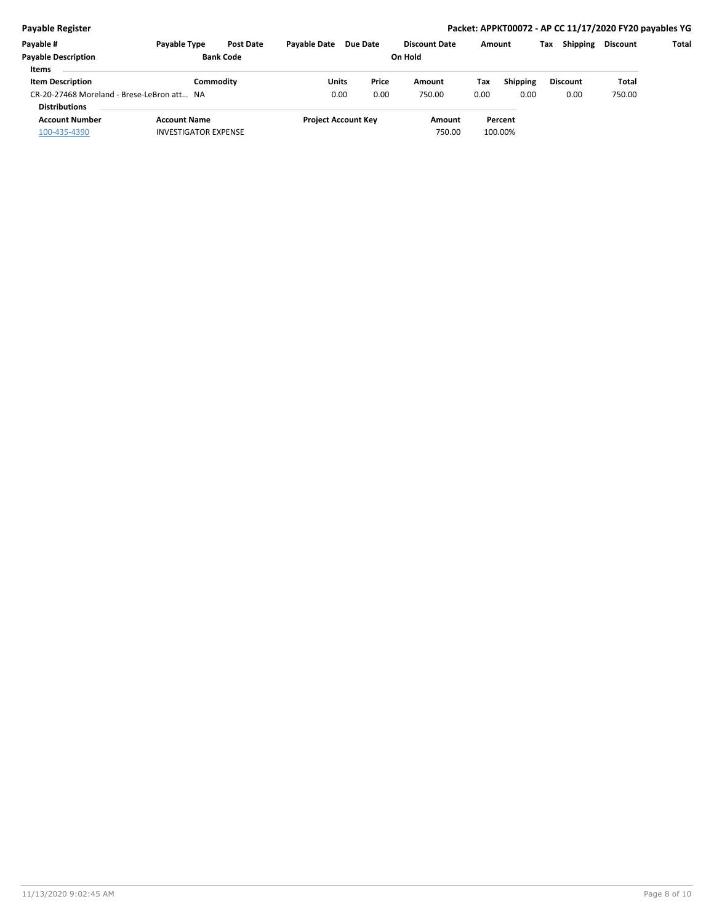## **Payable Register Packet: APPKT00072 - AP CC 11/17/2020 FY20 payables YG**

| Payable #                                  | <b>Payable Type</b>         | <b>Post Date</b> | <b>Pavable Date</b> | <b>Due Date</b>            | <b>Discount Date</b> |      | Amount          | <b>Shipping</b><br>Tax | <b>Discount</b> | Total |
|--------------------------------------------|-----------------------------|------------------|---------------------|----------------------------|----------------------|------|-----------------|------------------------|-----------------|-------|
| <b>Payable Description</b>                 |                             | <b>Bank Code</b> |                     |                            | On Hold              |      |                 |                        |                 |       |
| <b>Items</b>                               |                             |                  |                     |                            |                      |      |                 |                        |                 |       |
| <b>Item Description</b>                    |                             | Commoditv        | Units               | Price                      | Amount               | Tax  | <b>Shipping</b> | <b>Discount</b>        | Total           |       |
| CR-20-27468 Moreland - Brese-LeBron att NA |                             |                  |                     | 0.00<br>0.00               | 750.00               | 0.00 | 0.00            | 0.00                   | 750.00          |       |
| <b>Distributions</b>                       |                             |                  |                     |                            |                      |      |                 |                        |                 |       |
| <b>Account Number</b>                      | <b>Account Name</b>         |                  |                     | <b>Project Account Key</b> | Amount               |      | Percent         |                        |                 |       |
| 100-435-4390                               | <b>INVESTIGATOR EXPENSE</b> |                  |                     |                            | 750.00               |      | 100.00%         |                        |                 |       |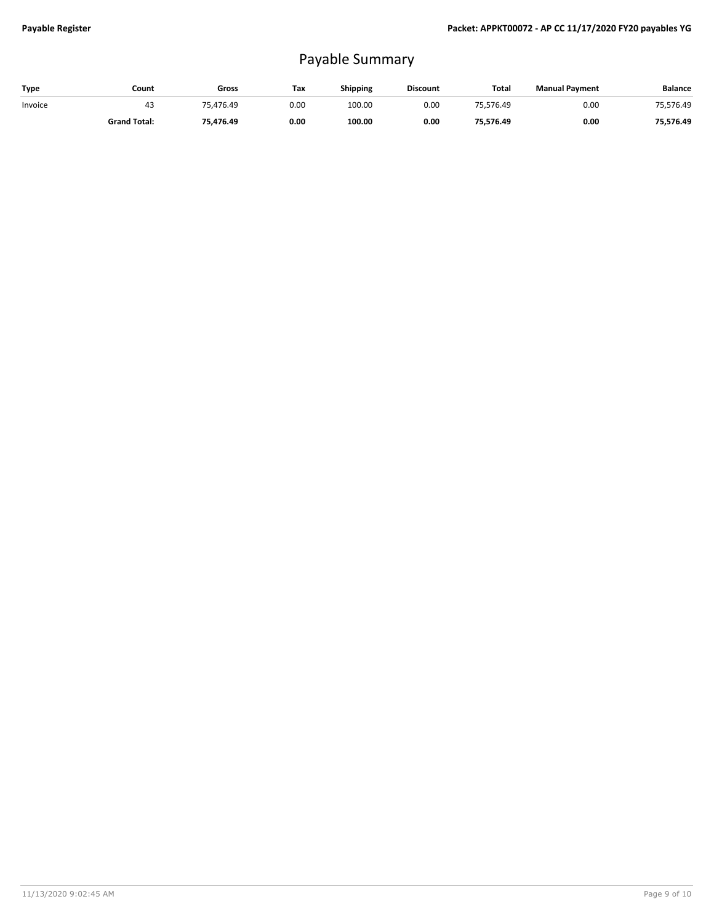## Payable Summary

| Type    | Count               | Gross     | Tax  | <b>Shipping</b> | <b>Discount</b> | Total     | <b>Manual Payment</b> | <b>Balance</b> |
|---------|---------------------|-----------|------|-----------------|-----------------|-----------|-----------------------|----------------|
| Invoice | 43                  | 75.476.49 | 0.00 | 100.00          | 0.00            | 75.576.49 | 0.00                  | 75.576.49      |
|         | <b>Grand Total:</b> | 75,476.49 | 0.00 | 100.00          | 0.00            | 75.576.49 | 0.00                  | 75.576.49      |